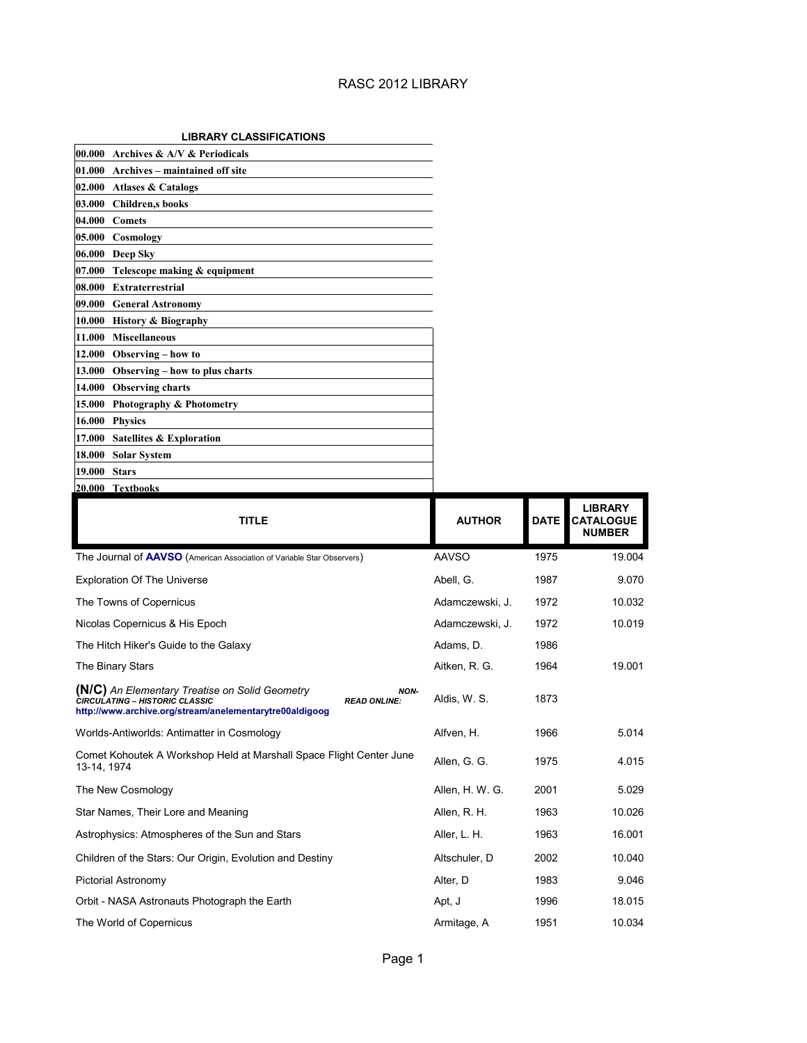#### **LIBRARY CLASSIFICATIONS**

| 00.000 Archives & A/V & Periodicals                                    |                 |             |                                                     |
|------------------------------------------------------------------------|-----------------|-------------|-----------------------------------------------------|
| 01.000 Archives – maintained off site                                  |                 |             |                                                     |
| 02.000 Atlases & Catalogs                                              |                 |             |                                                     |
| 03.000 Children,s books                                                |                 |             |                                                     |
| 04.000 Comets                                                          |                 |             |                                                     |
| 05.000<br>Cosmology                                                    |                 |             |                                                     |
| 06.000<br>Deep Sky                                                     |                 |             |                                                     |
| 07.000 Telescope making & equipment                                    |                 |             |                                                     |
| 08.000 Extraterrestrial                                                |                 |             |                                                     |
| 09.000 General Astronomy                                               |                 |             |                                                     |
| 10.000 History & Biography                                             |                 |             |                                                     |
| <b>Miscellaneous</b><br>11.000                                         |                 |             |                                                     |
| 12.000<br>Observing - how to                                           |                 |             |                                                     |
| 13.000<br>Observing - how to plus charts                               |                 |             |                                                     |
| 14.000 Observing charts                                                |                 |             |                                                     |
| 15.000 Photography & Photometry                                        |                 |             |                                                     |
| 16.000<br><b>Physics</b>                                               |                 |             |                                                     |
| 17.000<br><b>Satellites &amp; Exploration</b>                          |                 |             |                                                     |
| 18.000<br><b>Solar System</b>                                          |                 |             |                                                     |
| 19.000 Stars                                                           |                 |             |                                                     |
| 20.000 Textbooks                                                       |                 |             |                                                     |
| <b>TITLE</b>                                                           | <b>AUTHOR</b>   | <b>DATE</b> | <b>LIBRARY</b><br><b>CATALOGUE</b><br><b>NUMBER</b> |
| The Journal of AAVSO (American Association of Variable Star Observers) | <b>AAVSO</b>    | 1975        | 19.004                                              |
| <b>Exploration Of The Universe</b>                                     | Abell, G.       | 1987        | 9.070                                               |
| The Towns of Copernicus                                                | Adamczewski, J. | 1972        | 10.032                                              |
| Nicolas Copernicus & His Epoch                                         | Adamczewski, J. | 1972        | 10.019                                              |
| The Hitch Hiker's Guide to the Galaxy                                  | Adams, D.       | 1986        |                                                     |
| The Binary Stars                                                       | Aitken, R. G.   | 1964        | 19.001                                              |

| The Binary Stars                                                                                                                                                                  | Altken, R. G.   | 1964 | 19.001 |
|-----------------------------------------------------------------------------------------------------------------------------------------------------------------------------------|-----------------|------|--------|
| (N/C) An Elementary Treatise on Solid Geometry<br>NON-<br><b>CIRCULATING - HISTORIC CLASSIC</b><br><b>READ ONLINE:</b><br>http://www.archive.org/stream/anelementarytre00aldigoog | Aldis, W. S.    | 1873 |        |
| Worlds-Antiworlds: Antimatter in Cosmology                                                                                                                                        | Alfven, H.      | 1966 | 5.014  |
| Comet Kohoutek A Workshop Held at Marshall Space Flight Center June<br>13-14, 1974                                                                                                | Allen, G. G.    | 1975 | 4.015  |
| The New Cosmology                                                                                                                                                                 | Allen, H. W. G. | 2001 | 5.029  |
| Star Names, Their Lore and Meaning                                                                                                                                                | Allen, R. H.    | 1963 | 10.026 |
| Astrophysics: Atmospheres of the Sun and Stars                                                                                                                                    | Aller, L. H.    | 1963 | 16.001 |
| Children of the Stars: Our Origin, Evolution and Destiny                                                                                                                          | Altschuler, D   | 2002 | 10.040 |
| Pictorial Astronomy                                                                                                                                                               | Alter, D        | 1983 | 9.046  |
| Orbit - NASA Astronauts Photograph the Earth                                                                                                                                      | Apt. J          | 1996 | 18.015 |
| The World of Copernicus                                                                                                                                                           | Armitage, A     | 1951 | 10.034 |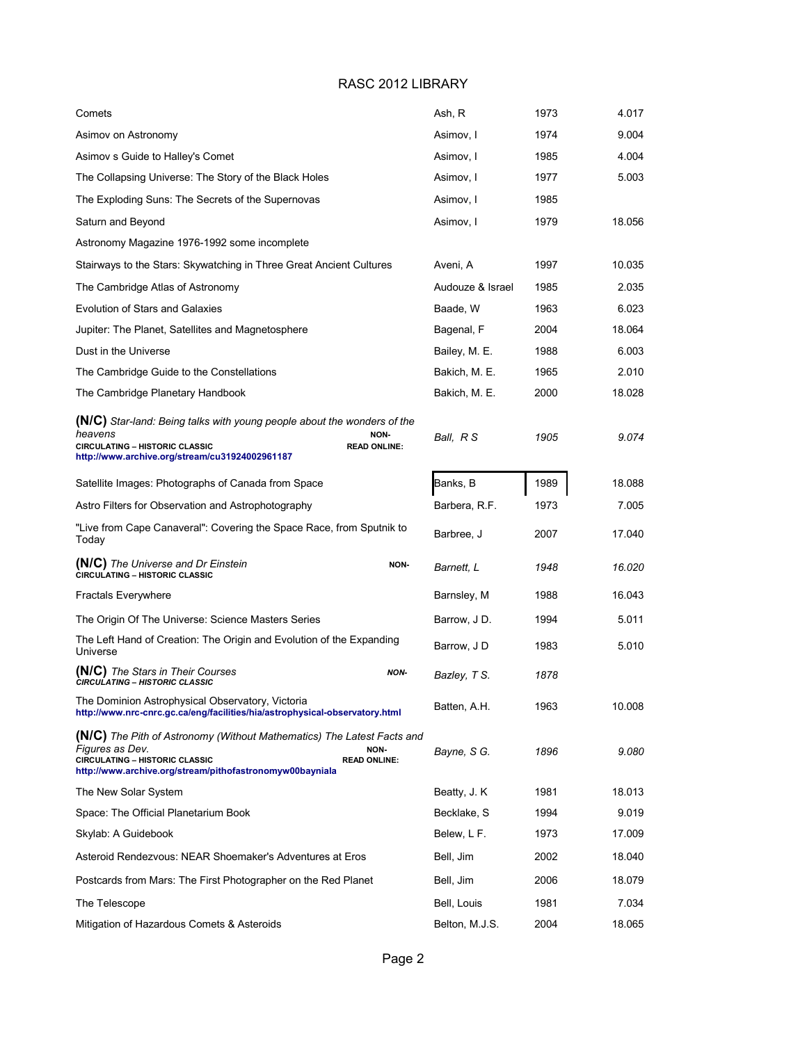| Comets                                                                                                                                                                                                                        | Ash, R           | 1973 | 4.017  |
|-------------------------------------------------------------------------------------------------------------------------------------------------------------------------------------------------------------------------------|------------------|------|--------|
| Asimov on Astronomy                                                                                                                                                                                                           | Asimov, I        | 1974 | 9.004  |
| Asimov s Guide to Halley's Comet                                                                                                                                                                                              | Asimov, I        | 1985 | 4.004  |
| The Collapsing Universe: The Story of the Black Holes                                                                                                                                                                         | Asimov, I        | 1977 | 5.003  |
| The Exploding Suns: The Secrets of the Supernovas                                                                                                                                                                             | Asimov, I        | 1985 |        |
| Saturn and Beyond                                                                                                                                                                                                             | Asimov, I        | 1979 | 18.056 |
| Astronomy Magazine 1976-1992 some incomplete                                                                                                                                                                                  |                  |      |        |
| Stairways to the Stars: Skywatching in Three Great Ancient Cultures                                                                                                                                                           | Aveni, A         | 1997 | 10.035 |
| The Cambridge Atlas of Astronomy                                                                                                                                                                                              | Audouze & Israel | 1985 | 2.035  |
| <b>Evolution of Stars and Galaxies</b>                                                                                                                                                                                        | Baade, W         | 1963 | 6.023  |
| Jupiter: The Planet, Satellites and Magnetosphere                                                                                                                                                                             | Bagenal, F       | 2004 | 18.064 |
| Dust in the Universe                                                                                                                                                                                                          | Bailey, M. E.    | 1988 | 6.003  |
| The Cambridge Guide to the Constellations                                                                                                                                                                                     | Bakich, M. E.    | 1965 | 2.010  |
| The Cambridge Planetary Handbook                                                                                                                                                                                              | Bakich, M. E.    | 2000 | 18.028 |
| (N/C) Star-land: Being talks with young people about the wonders of the<br>heavens<br>NON-<br>CIRCULATING - HISTORIC CLASSIC<br><b>READ ONLINE:</b><br>http://www.archive.org/stream/cu31924002961187                         | Ball, R S        | 1905 | 9.074  |
| Satellite Images: Photographs of Canada from Space                                                                                                                                                                            | Banks, B         | 1989 | 18.088 |
| Astro Filters for Observation and Astrophotography                                                                                                                                                                            | Barbera, R.F.    | 1973 | 7.005  |
| "Live from Cape Canaveral": Covering the Space Race, from Sputnik to<br>Today                                                                                                                                                 | Barbree, J       | 2007 | 17.040 |
| (N/C) The Universe and Dr Einstein<br>NON-<br>CIRCULATING - HISTORIC CLASSIC                                                                                                                                                  | Barnett, L       | 1948 | 16.020 |
| <b>Fractals Everywhere</b>                                                                                                                                                                                                    | Barnsley, M      | 1988 | 16.043 |
| The Origin Of The Universe: Science Masters Series                                                                                                                                                                            | Barrow, J D.     | 1994 | 5.011  |
| The Left Hand of Creation: The Origin and Evolution of the Expanding<br>Universe                                                                                                                                              | Barrow, J D      | 1983 | 5.010  |
| (N/C) The Stars in Their Courses<br>NON-<br><b>CIRCULATING - HISTORIC CLASSIC</b>                                                                                                                                             | Bazley, T S.     | 1878 |        |
| The Dominion Astrophysical Observatory, Victoria<br>http://www.nrc-cnrc.gc.ca/eng/facilities/hia/astrophysical-observatory.html                                                                                               | Batten, A.H.     | 1963 | 10.008 |
| <b>(N/C)</b> The Pith of Astronomy (Without Mathematics) The Latest Facts and<br>Figures as Dev.<br>NON-<br>CIRCULATING - HISTORIC CLASSIC<br><b>READ ONLINE:</b><br>http://www.archive.org/stream/pithofastronomyw00bayniala | Bayne, S G.      | 1896 | 9.080  |
| The New Solar System                                                                                                                                                                                                          | Beatty, J. K.    | 1981 | 18.013 |
| Space: The Official Planetarium Book                                                                                                                                                                                          | Becklake, S      | 1994 | 9.019  |
| Skylab: A Guidebook                                                                                                                                                                                                           | Belew, L F.      | 1973 | 17.009 |
| Asteroid Rendezvous: NEAR Shoemaker's Adventures at Eros                                                                                                                                                                      | Bell, Jim        | 2002 | 18.040 |
| Postcards from Mars: The First Photographer on the Red Planet                                                                                                                                                                 | Bell, Jim        | 2006 | 18.079 |
| The Telescope                                                                                                                                                                                                                 | Bell, Louis      | 1981 | 7.034  |
| Mitigation of Hazardous Comets & Asteroids                                                                                                                                                                                    | Belton, M.J.S.   | 2004 | 18.065 |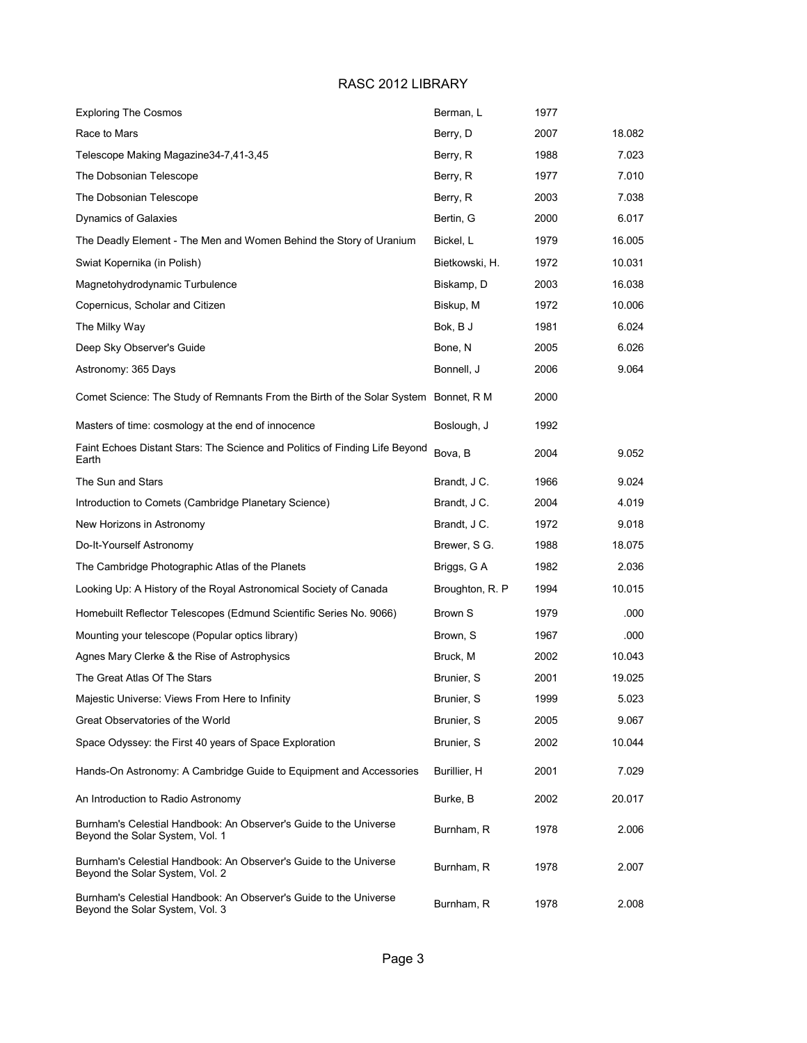| <b>Exploring The Cosmos</b>                                                                          | Berman, L        | 1977 |        |
|------------------------------------------------------------------------------------------------------|------------------|------|--------|
| Race to Mars                                                                                         | Berry, D         | 2007 | 18.082 |
| Telescope Making Magazine34-7,41-3,45                                                                | Berry, R         | 1988 | 7.023  |
| The Dobsonian Telescope                                                                              | Berry, R         | 1977 | 7.010  |
| The Dobsonian Telescope                                                                              | Berry, R         | 2003 | 7.038  |
| Dynamics of Galaxies                                                                                 | Bertin, G        | 2000 | 6.017  |
| The Deadly Element - The Men and Women Behind the Story of Uranium                                   | Bickel, L        | 1979 | 16.005 |
| Swiat Kopernika (in Polish)                                                                          | Bietkowski, H.   | 1972 | 10.031 |
| Magnetohydrodynamic Turbulence                                                                       | Biskamp, D       | 2003 | 16.038 |
| Copernicus, Scholar and Citizen                                                                      | Biskup, M        | 1972 | 10.006 |
| The Milky Way                                                                                        | Bok, B J         | 1981 | 6.024  |
| Deep Sky Observer's Guide                                                                            | Bone, N          | 2005 | 6.026  |
| Astronomy: 365 Days                                                                                  | Bonnell, J       | 2006 | 9.064  |
| Comet Science: The Study of Remnants From the Birth of the Solar System Bonnet, R M                  |                  | 2000 |        |
| Masters of time: cosmology at the end of innocence                                                   | Boslough, J      | 1992 |        |
| Faint Echoes Distant Stars: The Science and Politics of Finding Life Beyond<br>Earth                 | Bova, B          | 2004 | 9.052  |
| The Sun and Stars                                                                                    | Brandt, J C.     | 1966 | 9.024  |
| Introduction to Comets (Cambridge Planetary Science)                                                 | Brandt, J C.     | 2004 | 4.019  |
| New Horizons in Astronomy                                                                            | Brandt, J C.     | 1972 | 9.018  |
| Do-It-Yourself Astronomy                                                                             | Brewer, S G.     | 1988 | 18.075 |
| The Cambridge Photographic Atlas of the Planets                                                      | Briggs, G A      | 1982 | 2.036  |
| Looking Up: A History of the Royal Astronomical Society of Canada                                    | Broughton, R. P. | 1994 | 10.015 |
| Homebuilt Reflector Telescopes (Edmund Scientific Series No. 9066)                                   | <b>Brown S</b>   | 1979 | .000   |
| Mounting your telescope (Popular optics library)                                                     | Brown, S         | 1967 | .000   |
| Agnes Mary Clerke & the Rise of Astrophysics                                                         | Bruck, M         | 2002 | 10.043 |
| The Great Atlas Of The Stars                                                                         | Brunier, S       | 2001 | 19.025 |
| Majestic Universe: Views From Here to Infinity                                                       | Brunier, S       | 1999 | 5.023  |
| Great Observatories of the World                                                                     | Brunier, S       | 2005 | 9.067  |
| Space Odyssey: the First 40 years of Space Exploration                                               | Brunier, S       | 2002 | 10.044 |
| Hands-On Astronomy: A Cambridge Guide to Equipment and Accessories                                   | Burillier, H     | 2001 | 7.029  |
| An Introduction to Radio Astronomy                                                                   | Burke, B         | 2002 | 20.017 |
| Burnham's Celestial Handbook: An Observer's Guide to the Universe<br>Beyond the Solar System, Vol. 1 | Burnham, R       | 1978 | 2.006  |
| Burnham's Celestial Handbook: An Observer's Guide to the Universe<br>Beyond the Solar System, Vol. 2 | Burnham, R       | 1978 | 2.007  |
| Burnham's Celestial Handbook: An Observer's Guide to the Universe<br>Beyond the Solar System, Vol. 3 | Burnham, R       | 1978 | 2.008  |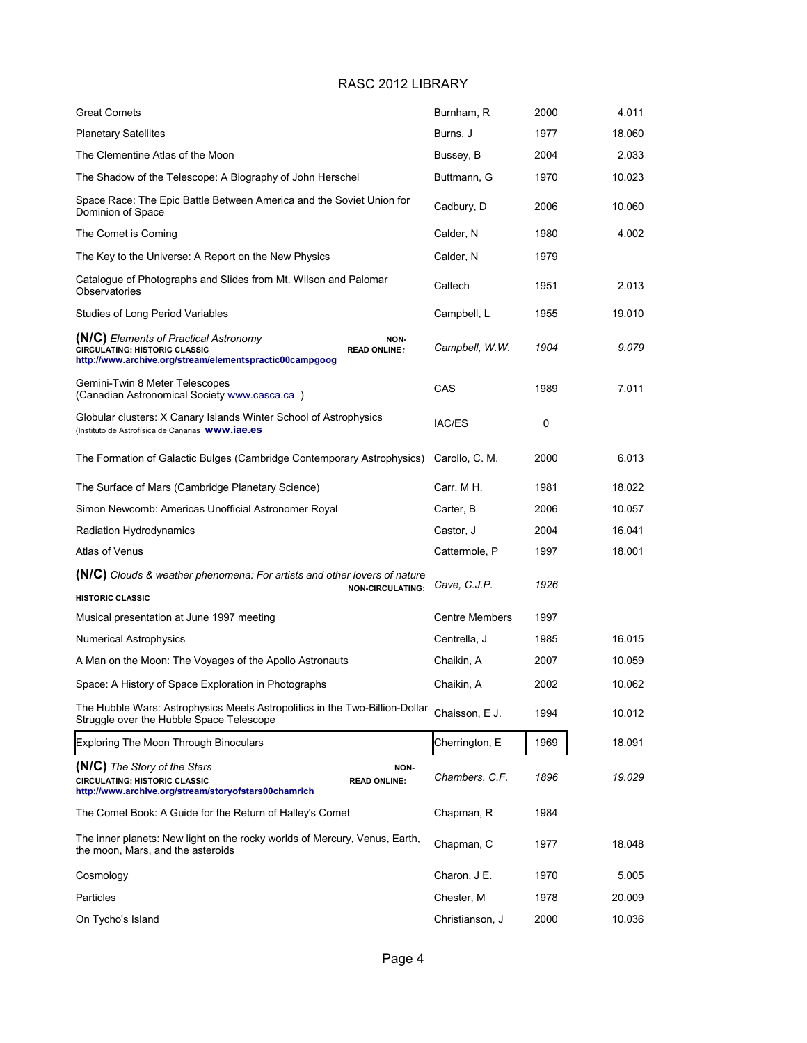| <b>Great Comets</b>                                                                                                                                              | Burnham, R            | 2000 | 4.011  |
|------------------------------------------------------------------------------------------------------------------------------------------------------------------|-----------------------|------|--------|
| <b>Planetary Satellites</b>                                                                                                                                      | Burns, J              | 1977 | 18.060 |
| The Clementine Atlas of the Moon                                                                                                                                 | Bussey, B             | 2004 | 2.033  |
| The Shadow of the Telescope: A Biography of John Herschel                                                                                                        | Buttmann, G           | 1970 | 10.023 |
| Space Race: The Epic Battle Between America and the Soviet Union for<br>Dominion of Space                                                                        | Cadbury, D            | 2006 | 10.060 |
| The Comet is Coming                                                                                                                                              | Calder, N             | 1980 | 4.002  |
| The Key to the Universe: A Report on the New Physics                                                                                                             | Calder, N             | 1979 |        |
| Catalogue of Photographs and Slides from Mt. Wilson and Palomar<br>Observatories                                                                                 | Caltech               | 1951 | 2.013  |
| Studies of Long Period Variables                                                                                                                                 | Campbell, L           | 1955 | 19.010 |
| (N/C) Elements of Practical Astronomy<br>NON-<br>CIRCULATING: HISTORIC CLASSIC<br><b>READ ONLINE:</b><br>http://www.archive.org/stream/elementspractic00campgoog | Campbell, W.W.        | 1904 | 9.079  |
| Gemini-Twin 8 Meter Telescopes<br>(Canadian Astronomical Society www.casca.ca)                                                                                   | CAS                   | 1989 | 7.011  |
| Globular clusters: X Canary Islands Winter School of Astrophysics<br>(Instituto de Astrofísica de Canarias WWW.iae.es                                            | IAC/ES                | 0    |        |
| The Formation of Galactic Bulges (Cambridge Contemporary Astrophysics)                                                                                           | Carollo, C. M.        | 2000 | 6.013  |
| The Surface of Mars (Cambridge Planetary Science)                                                                                                                | Carr, M H.            | 1981 | 18.022 |
| Simon Newcomb: Americas Unofficial Astronomer Royal                                                                                                              | Carter, B             | 2006 | 10.057 |
| Radiation Hydrodynamics                                                                                                                                          | Castor, J             | 2004 | 16.041 |
| Atlas of Venus                                                                                                                                                   | Cattermole, P         | 1997 | 18.001 |
| (N/C) Clouds & weather phenomena: For artists and other lovers of nature                                                                                         | Cave, C.J.P.          | 1926 |        |
| <b>NON-CIRCULATING:</b><br><b>HISTORIC CLASSIC</b>                                                                                                               |                       |      |        |
| Musical presentation at June 1997 meeting                                                                                                                        | <b>Centre Members</b> | 1997 |        |
| Numerical Astrophysics                                                                                                                                           | Centrella, J          | 1985 | 16.015 |
| A Man on the Moon: The Voyages of the Apollo Astronauts                                                                                                          | Chaikin, A            | 2007 | 10.059 |
| Space: A History of Space Exploration in Photographs                                                                                                             | Chaikin, A            | 2002 | 10.062 |
| The Hubble Wars: Astrophysics Meets Astropolitics in the Two-Billion-Dollar<br>Struggle over the Hubble Space Telescope                                          | Chaisson, E J.        | 1994 | 10.012 |
| <b>Exploring The Moon Through Binoculars</b>                                                                                                                     | Cherrington, E        | 1969 | 18.091 |
| (N/C) The Story of the Stars<br>NON-<br>CIRCULATING: HISTORIC CLASSIC<br><b>READ ONLINE:</b><br>http://www.archive.org/stream/storyofstars00chamrich             | Chambers, C.F.        | 1896 | 19.029 |
| The Comet Book: A Guide for the Return of Halley's Comet                                                                                                         | Chapman, R            | 1984 |        |
| The inner planets: New light on the rocky worlds of Mercury, Venus, Earth,<br>the moon, Mars, and the asteroids                                                  | Chapman, C            | 1977 | 18.048 |
| Cosmology                                                                                                                                                        | Charon, J E.          | 1970 | 5.005  |
| Particles                                                                                                                                                        | Chester, M            | 1978 | 20.009 |
| On Tycho's Island                                                                                                                                                | Christianson, J       | 2000 | 10.036 |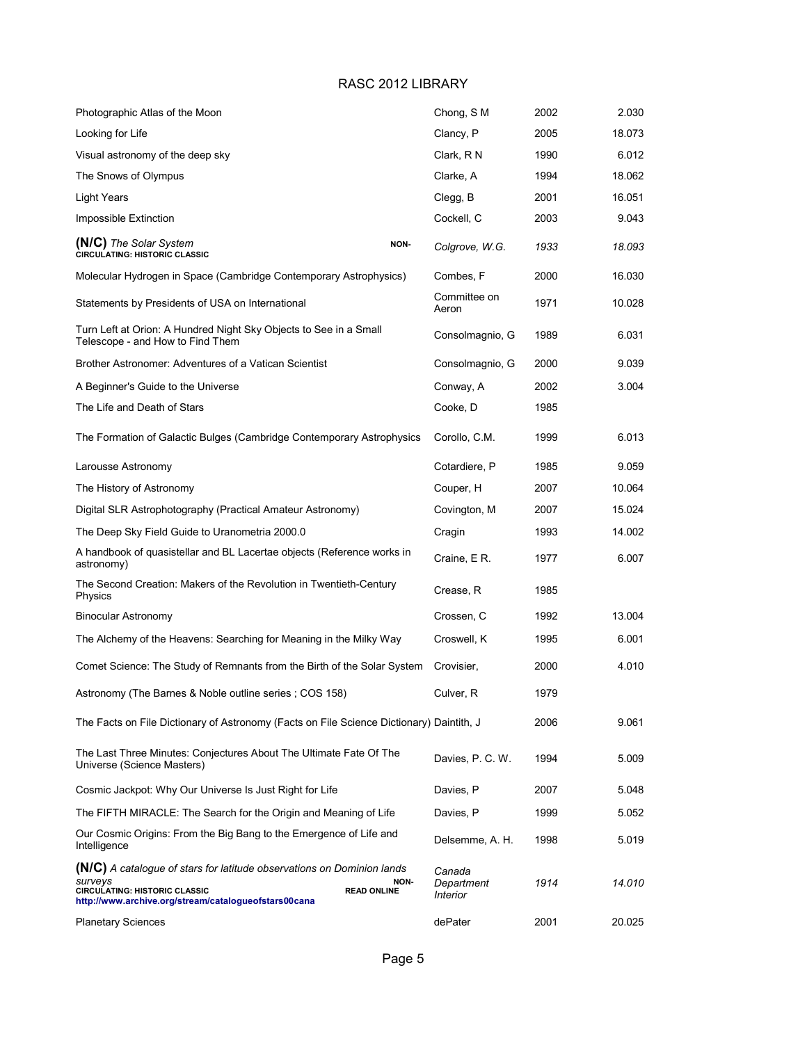| Photographic Atlas of the Moon                                                                                                                                                                          |      | Chong, S M                                     | 2002 | 2.030  |
|---------------------------------------------------------------------------------------------------------------------------------------------------------------------------------------------------------|------|------------------------------------------------|------|--------|
| Looking for Life                                                                                                                                                                                        |      | Clancy, P                                      | 2005 | 18.073 |
| Visual astronomy of the deep sky                                                                                                                                                                        |      | Clark, R N                                     | 1990 | 6.012  |
| The Snows of Olympus                                                                                                                                                                                    |      | Clarke, A                                      | 1994 | 18.062 |
| Light Years                                                                                                                                                                                             |      | Clegg, B                                       | 2001 | 16.051 |
| Impossible Extinction                                                                                                                                                                                   |      | Cockell, C                                     | 2003 | 9.043  |
| (N/C) The Solar System<br><b>CIRCULATING: HISTORIC CLASSIC</b>                                                                                                                                          | NON- | Colgrove, W.G.                                 | 1933 | 18.093 |
| Molecular Hydrogen in Space (Cambridge Contemporary Astrophysics)                                                                                                                                       |      | Combes, F                                      | 2000 | 16.030 |
| Statements by Presidents of USA on International                                                                                                                                                        |      | Committee on<br>Aeron                          | 1971 | 10.028 |
| Turn Left at Orion: A Hundred Night Sky Objects to See in a Small<br>Telescope - and How to Find Them                                                                                                   |      | Consolmagnio, G                                | 1989 | 6.031  |
| Brother Astronomer: Adventures of a Vatican Scientist                                                                                                                                                   |      | Consolmagnio, G                                | 2000 | 9.039  |
| A Beginner's Guide to the Universe                                                                                                                                                                      |      | Conway, A                                      | 2002 | 3.004  |
| The Life and Death of Stars                                                                                                                                                                             |      | Cooke, D                                       | 1985 |        |
| The Formation of Galactic Bulges (Cambridge Contemporary Astrophysics                                                                                                                                   |      | Corollo, C.M.                                  | 1999 | 6.013  |
| Larousse Astronomy                                                                                                                                                                                      |      | Cotardiere, P                                  | 1985 | 9.059  |
| The History of Astronomy                                                                                                                                                                                |      | Couper, H                                      | 2007 | 10.064 |
| Digital SLR Astrophotography (Practical Amateur Astronomy)                                                                                                                                              |      | Covington, M                                   | 2007 | 15.024 |
| The Deep Sky Field Guide to Uranometria 2000.0                                                                                                                                                          |      | Cragin                                         | 1993 | 14.002 |
| A handbook of quasistellar and BL Lacertae objects (Reference works in<br>astronomy)                                                                                                                    |      | Craine, E R.                                   | 1977 | 6.007  |
| The Second Creation: Makers of the Revolution in Twentieth-Century<br>Physics                                                                                                                           |      | Crease, R                                      | 1985 |        |
| <b>Binocular Astronomy</b>                                                                                                                                                                              |      | Crossen, C                                     | 1992 | 13.004 |
| The Alchemy of the Heavens: Searching for Meaning in the Milky Way                                                                                                                                      |      | Croswell, K                                    | 1995 | 6.001  |
| Comet Science: The Study of Remnants from the Birth of the Solar System                                                                                                                                 |      | Crovisier,                                     | 2000 | 4.010  |
| Astronomy (The Barnes & Noble outline series ; COS 158)                                                                                                                                                 |      | Culver, R                                      | 1979 |        |
| The Facts on File Dictionary of Astronomy (Facts on File Science Dictionary) Daintith, J                                                                                                                |      |                                                | 2006 | 9.061  |
| The Last Three Minutes: Conjectures About The Ultimate Fate Of The<br>Universe (Science Masters)                                                                                                        |      | Davies, P. C. W.                               | 1994 | 5.009  |
| Cosmic Jackpot: Why Our Universe Is Just Right for Life                                                                                                                                                 |      | Davies, P                                      | 2007 | 5.048  |
| The FIFTH MIRACLE: The Search for the Origin and Meaning of Life                                                                                                                                        |      | Davies, P                                      | 1999 | 5.052  |
| Our Cosmic Origins: From the Big Bang to the Emergence of Life and<br>Intelligence                                                                                                                      |      | Delsemme, A. H.                                | 1998 | 5.019  |
| (N/C) A catalogue of stars for latitude observations on Dominion lands<br>surveys<br><b>CIRCULATING: HISTORIC CLASSIC</b><br><b>READ ONLINE</b><br>http://www.archive.org/stream/catalogueofstars00cana | NON- | Canada<br>Department<br><i><b>Interior</b></i> | 1914 | 14.010 |
| <b>Planetary Sciences</b>                                                                                                                                                                               |      | dePater                                        | 2001 | 20.025 |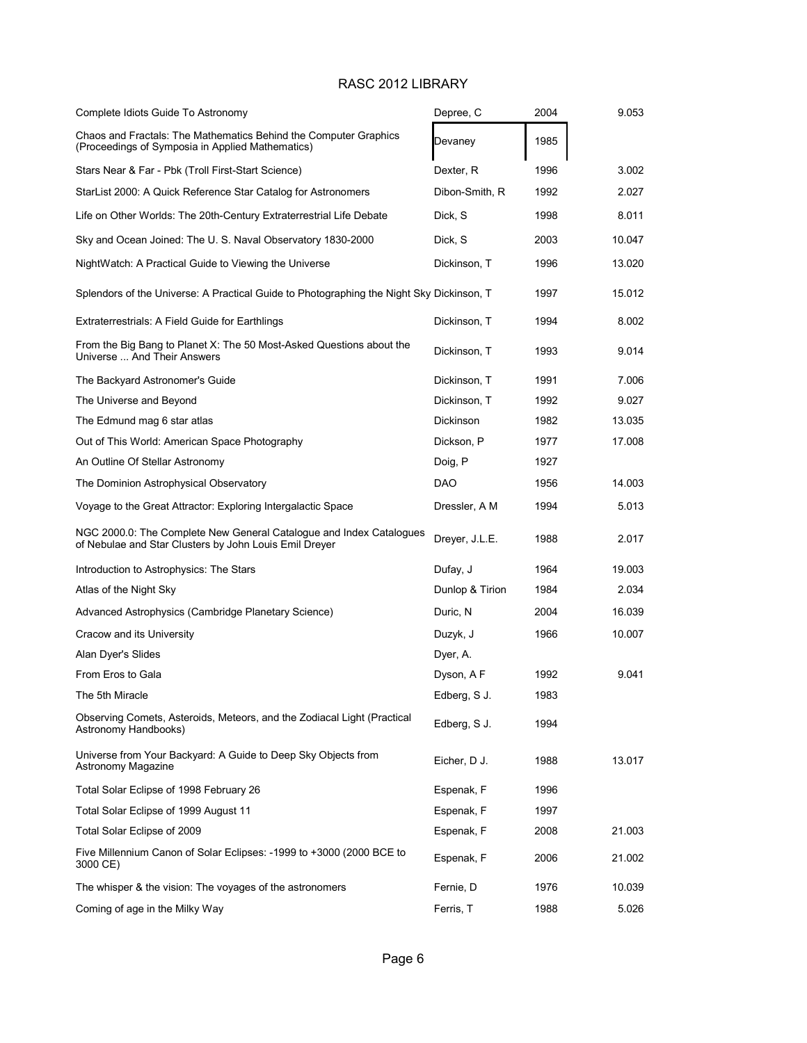| Complete Idiots Guide To Astronomy                                                                                            | Depree, C       | 2004 | 9.053  |
|-------------------------------------------------------------------------------------------------------------------------------|-----------------|------|--------|
| Chaos and Fractals: The Mathematics Behind the Computer Graphics<br>(Proceedings of Symposia in Applied Mathematics)          | Devaney         | 1985 |        |
| Stars Near & Far - Pbk (Troll First-Start Science)                                                                            | Dexter, R       | 1996 | 3.002  |
| StarList 2000: A Quick Reference Star Catalog for Astronomers                                                                 | Dibon-Smith, R  | 1992 | 2.027  |
| Life on Other Worlds: The 20th-Century Extraterrestrial Life Debate                                                           | Dick, S         | 1998 | 8.011  |
| Sky and Ocean Joined: The U.S. Naval Observatory 1830-2000                                                                    | Dick, S         | 2003 | 10.047 |
| NightWatch: A Practical Guide to Viewing the Universe                                                                         | Dickinson. T    | 1996 | 13.020 |
| Splendors of the Universe: A Practical Guide to Photographing the Night Sky Dickinson, T                                      |                 | 1997 | 15.012 |
| Extraterrestrials: A Field Guide for Earthlings                                                                               | Dickinson, T    | 1994 | 8.002  |
| From the Big Bang to Planet X: The 50 Most-Asked Questions about the<br>Universe  And Their Answers                           | Dickinson, T    | 1993 | 9.014  |
| The Backyard Astronomer's Guide                                                                                               | Dickinson, T    | 1991 | 7.006  |
| The Universe and Beyond                                                                                                       | Dickinson, T    | 1992 | 9.027  |
| The Edmund mag 6 star atlas                                                                                                   | Dickinson       | 1982 | 13.035 |
| Out of This World: American Space Photography                                                                                 | Dickson, P      | 1977 | 17.008 |
| An Outline Of Stellar Astronomy                                                                                               | Doig, P         | 1927 |        |
| The Dominion Astrophysical Observatory                                                                                        | <b>DAO</b>      | 1956 | 14.003 |
| Voyage to the Great Attractor: Exploring Intergalactic Space                                                                  | Dressler, A M   | 1994 | 5.013  |
| NGC 2000.0: The Complete New General Catalogue and Index Catalogues<br>of Nebulae and Star Clusters by John Louis Emil Dreyer | Dreyer, J.L.E.  | 1988 | 2.017  |
| Introduction to Astrophysics: The Stars                                                                                       | Dufay, J        | 1964 | 19.003 |
| Atlas of the Night Sky                                                                                                        | Dunlop & Tirion | 1984 | 2.034  |
| Advanced Astrophysics (Cambridge Planetary Science)                                                                           | Duric, N        | 2004 | 16.039 |
| Cracow and its University                                                                                                     | Duzyk, J        | 1966 | 10.007 |
| Alan Dyer's Slides                                                                                                            | Dyer, A.        |      |        |
| From Eros to Gala                                                                                                             | Dyson, A F      | 1992 | 9.041  |
| The 5th Miracle                                                                                                               | Edberg, S J.    | 1983 |        |
| Observing Comets, Asteroids, Meteors, and the Zodiacal Light (Practical<br>Astronomy Handbooks)                               | Edberg, S J.    | 1994 |        |
| Universe from Your Backyard: A Guide to Deep Sky Objects from<br>Astronomy Magazine                                           | Eicher, D J.    | 1988 | 13.017 |
| Total Solar Eclipse of 1998 February 26                                                                                       | Espenak, F      | 1996 |        |
| Total Solar Eclipse of 1999 August 11                                                                                         | Espenak, F      | 1997 |        |
| Total Solar Eclipse of 2009                                                                                                   | Espenak, F      | 2008 | 21.003 |
| Five Millennium Canon of Solar Eclipses: -1999 to +3000 (2000 BCE to<br>3000 CE)                                              | Espenak, F      | 2006 | 21.002 |
| The whisper & the vision: The voyages of the astronomers                                                                      | Fernie, D       | 1976 | 10.039 |
| Coming of age in the Milky Way                                                                                                | Ferris, T       | 1988 | 5.026  |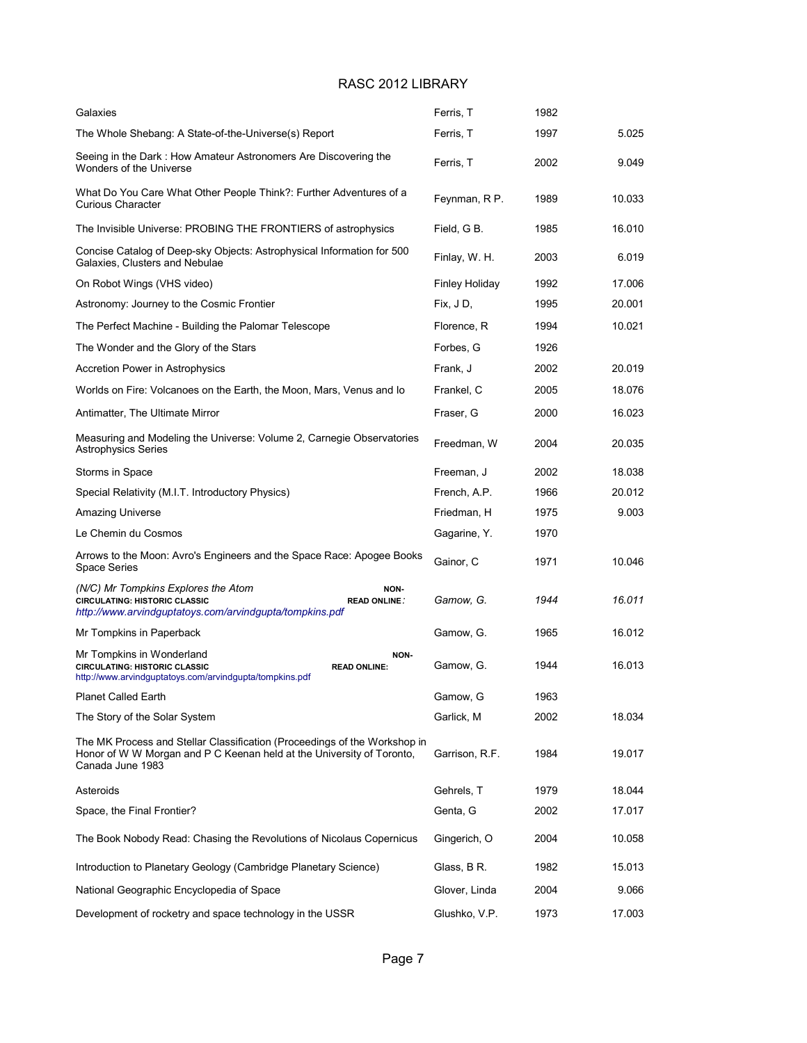| Galaxies                                                                                                                                                               | Ferris, T             | 1982 |        |
|------------------------------------------------------------------------------------------------------------------------------------------------------------------------|-----------------------|------|--------|
| The Whole Shebang: A State-of-the-Universe(s) Report                                                                                                                   | Ferris, T             | 1997 | 5.025  |
| Seeing in the Dark : How Amateur Astronomers Are Discovering the<br>Wonders of the Universe                                                                            | Ferris, T             | 2002 | 9.049  |
| What Do You Care What Other People Think?: Further Adventures of a<br><b>Curious Character</b>                                                                         | Feynman, R P.         | 1989 | 10.033 |
| The Invisible Universe: PROBING THE FRONTIERS of astrophysics                                                                                                          | Field, G B.           | 1985 | 16.010 |
| Concise Catalog of Deep-sky Objects: Astrophysical Information for 500<br>Galaxies, Clusters and Nebulae                                                               | Finlay, W. H.         | 2003 | 6.019  |
| On Robot Wings (VHS video)                                                                                                                                             | <b>Finley Holiday</b> | 1992 | 17.006 |
| Astronomy: Journey to the Cosmic Frontier                                                                                                                              | Fix, JD,              | 1995 | 20.001 |
| The Perfect Machine - Building the Palomar Telescope                                                                                                                   | Florence, R           | 1994 | 10.021 |
| The Wonder and the Glory of the Stars                                                                                                                                  | Forbes, G             | 1926 |        |
| Accretion Power in Astrophysics                                                                                                                                        | Frank, J              | 2002 | 20.019 |
| Worlds on Fire: Volcanoes on the Earth, the Moon, Mars, Venus and lo                                                                                                   | Frankel, C            | 2005 | 18.076 |
| Antimatter, The Ultimate Mirror                                                                                                                                        | Fraser, G             | 2000 | 16.023 |
| Measuring and Modeling the Universe: Volume 2, Carnegie Observatories<br><b>Astrophysics Series</b>                                                                    | Freedman, W           | 2004 | 20.035 |
| Storms in Space                                                                                                                                                        | Freeman, J            | 2002 | 18.038 |
| Special Relativity (M.I.T. Introductory Physics)                                                                                                                       | French, A.P.          | 1966 | 20.012 |
| Amazing Universe                                                                                                                                                       | Friedman, H           | 1975 | 9.003  |
| Le Chemin du Cosmos                                                                                                                                                    | Gagarine, Y.          | 1970 |        |
| Arrows to the Moon: Avro's Engineers and the Space Race: Apogee Books<br><b>Space Series</b>                                                                           | Gainor, C             | 1971 | 10.046 |
| (N/C) Mr Tompkins Explores the Atom<br>NON-<br><b>CIRCULATING: HISTORIC CLASSIC</b><br><b>READ ONLINE:</b><br>http://www.arvindguptatoys.com/arvindgupta/tompkins.pdf  | Gamow, G.             | 1944 | 16.011 |
| Mr Tompkins in Paperback                                                                                                                                               | Gamow, G.             | 1965 | 16.012 |
| Mr Tompkins in Wonderland<br>NON-<br><b>CIRCULATING: HISTORIC CLASSIC</b><br><b>READ ONLINE:</b><br>http://www.arvindguptatoys.com/arvindgupta/tompkins.pdf            | Gamow, G.             | 1944 | 16.013 |
| Planet Called Earth                                                                                                                                                    | Gamow, G              | 1963 |        |
| The Story of the Solar System                                                                                                                                          | Garlick, M            | 2002 | 18.034 |
| The MK Process and Stellar Classification (Proceedings of the Workshop in<br>Honor of W W Morgan and P C Keenan held at the University of Toronto,<br>Canada June 1983 | Garrison, R.F.        | 1984 | 19.017 |
| Asteroids                                                                                                                                                              | Gehrels, T            | 1979 | 18.044 |
| Space, the Final Frontier?                                                                                                                                             | Genta, G              | 2002 | 17.017 |
| The Book Nobody Read: Chasing the Revolutions of Nicolaus Copernicus                                                                                                   | Gingerich, O          | 2004 | 10.058 |
| Introduction to Planetary Geology (Cambridge Planetary Science)                                                                                                        | Glass, B R.           | 1982 | 15.013 |
| National Geographic Encyclopedia of Space                                                                                                                              | Glover, Linda         | 2004 | 9.066  |
| Development of rocketry and space technology in the USSR                                                                                                               | Glushko, V.P.         | 1973 | 17.003 |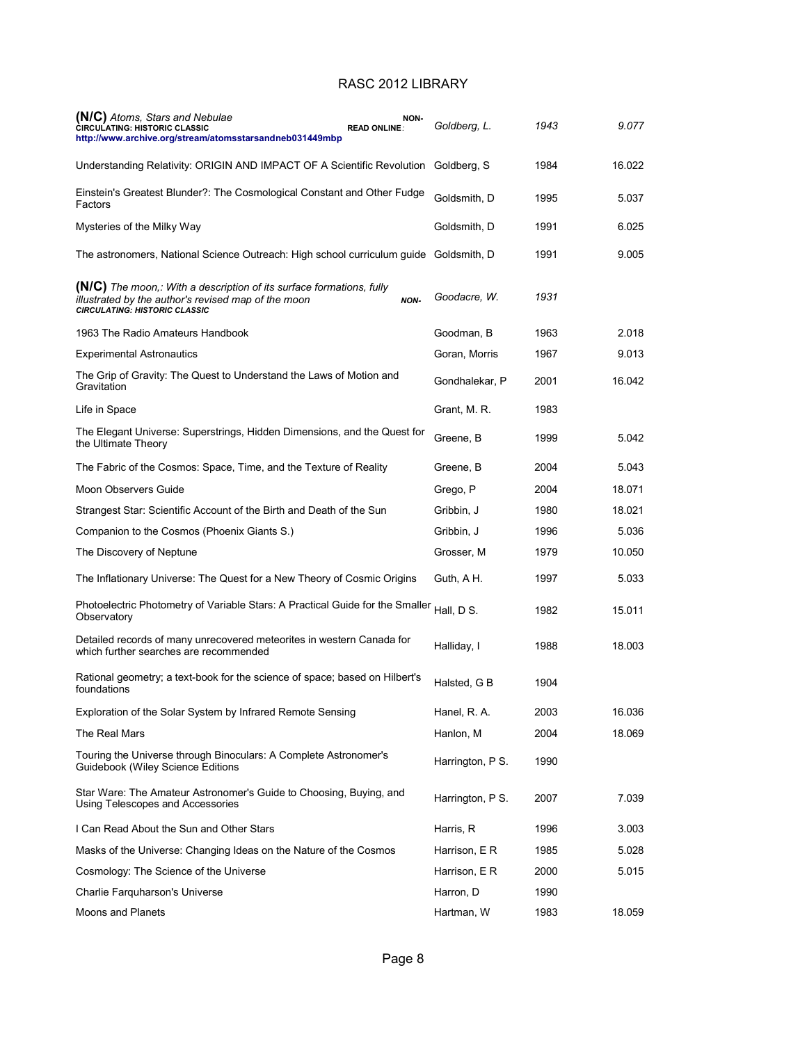| (N/C) Atoms, Stars and Nebulae<br><b>CIRCULATING: HISTORIC CLASSIC</b><br>http://www.archive.org/stream/atomsstarsandneb031449mbp                                          | NON-<br><b>READ ONLINE:</b> | Goldberg, L.     | 1943 | 9.077  |
|----------------------------------------------------------------------------------------------------------------------------------------------------------------------------|-----------------------------|------------------|------|--------|
| Understanding Relativity: ORIGIN AND IMPACT OF A Scientific Revolution Goldberg, S                                                                                         |                             |                  | 1984 | 16.022 |
| Einstein's Greatest Blunder?: The Cosmological Constant and Other Fudge<br>Factors                                                                                         |                             | Goldsmith, D     | 1995 | 5.037  |
| Mysteries of the Milky Way                                                                                                                                                 |                             | Goldsmith, D     | 1991 | 6.025  |
| The astronomers, National Science Outreach: High school curriculum guide Goldsmith, D                                                                                      |                             |                  | 1991 | 9.005  |
| <b>(N/C)</b> The moon,: With a description of its surface formations, fully<br>illustrated by the author's revised map of the moon<br><b>CIRCULATING: HISTORIC CLASSIC</b> | NON-                        | Goodacre, W.     | 1931 |        |
| 1963 The Radio Amateurs Handbook                                                                                                                                           |                             | Goodman, B       | 1963 | 2.018  |
| <b>Experimental Astronautics</b>                                                                                                                                           |                             | Goran, Morris    | 1967 | 9.013  |
| The Grip of Gravity: The Quest to Understand the Laws of Motion and<br>Gravitation                                                                                         |                             | Gondhalekar, P   | 2001 | 16.042 |
| Life in Space                                                                                                                                                              |                             | Grant, M. R.     | 1983 |        |
| The Elegant Universe: Superstrings, Hidden Dimensions, and the Quest for<br>the Ultimate Theory                                                                            |                             | Greene, B        | 1999 | 5.042  |
| The Fabric of the Cosmos: Space, Time, and the Texture of Reality                                                                                                          |                             | Greene, B        | 2004 | 5.043  |
| Moon Observers Guide                                                                                                                                                       |                             | Grego, P         | 2004 | 18.071 |
| Strangest Star: Scientific Account of the Birth and Death of the Sun                                                                                                       |                             | Gribbin, J       | 1980 | 18.021 |
| Companion to the Cosmos (Phoenix Giants S.)                                                                                                                                |                             | Gribbin, J       | 1996 | 5.036  |
| The Discovery of Neptune                                                                                                                                                   |                             | Grosser, M       | 1979 | 10.050 |
| The Inflationary Universe: The Quest for a New Theory of Cosmic Origins                                                                                                    |                             | Guth, A H.       | 1997 | 5.033  |
| Photoelectric Photometry of Variable Stars: A Practical Guide for the Smaller<br>Observatory                                                                               |                             | Hall, D S.       | 1982 | 15.011 |
| Detailed records of many unrecovered meteorites in western Canada for<br>which further searches are recommended                                                            |                             | Halliday, I      | 1988 | 18.003 |
| Rational geometry; a text-book for the science of space; based on Hilbert's<br>foundations                                                                                 |                             | Halsted, G B     | 1904 |        |
| Exploration of the Solar System by Infrared Remote Sensing                                                                                                                 |                             | Hanel, R. A.     | 2003 | 16.036 |
| The Real Mars                                                                                                                                                              |                             | Hanlon, M        | 2004 | 18.069 |
| Touring the Universe through Binoculars: A Complete Astronomer's<br>Guidebook (Wiley Science Editions                                                                      |                             | Harrington, P S. | 1990 |        |
| Star Ware: The Amateur Astronomer's Guide to Choosing, Buying, and<br>Using Telescopes and Accessories                                                                     |                             | Harrington, P S. | 2007 | 7.039  |
| I Can Read About the Sun and Other Stars                                                                                                                                   |                             | Harris, R        | 1996 | 3.003  |
| Masks of the Universe: Changing Ideas on the Nature of the Cosmos                                                                                                          |                             | Harrison, E R    | 1985 | 5.028  |
| Cosmology: The Science of the Universe                                                                                                                                     |                             | Harrison, E R    | 2000 | 5.015  |
| Charlie Farquharson's Universe                                                                                                                                             |                             | Harron, D        | 1990 |        |
| Moons and Planets                                                                                                                                                          |                             | Hartman, W       | 1983 | 18.059 |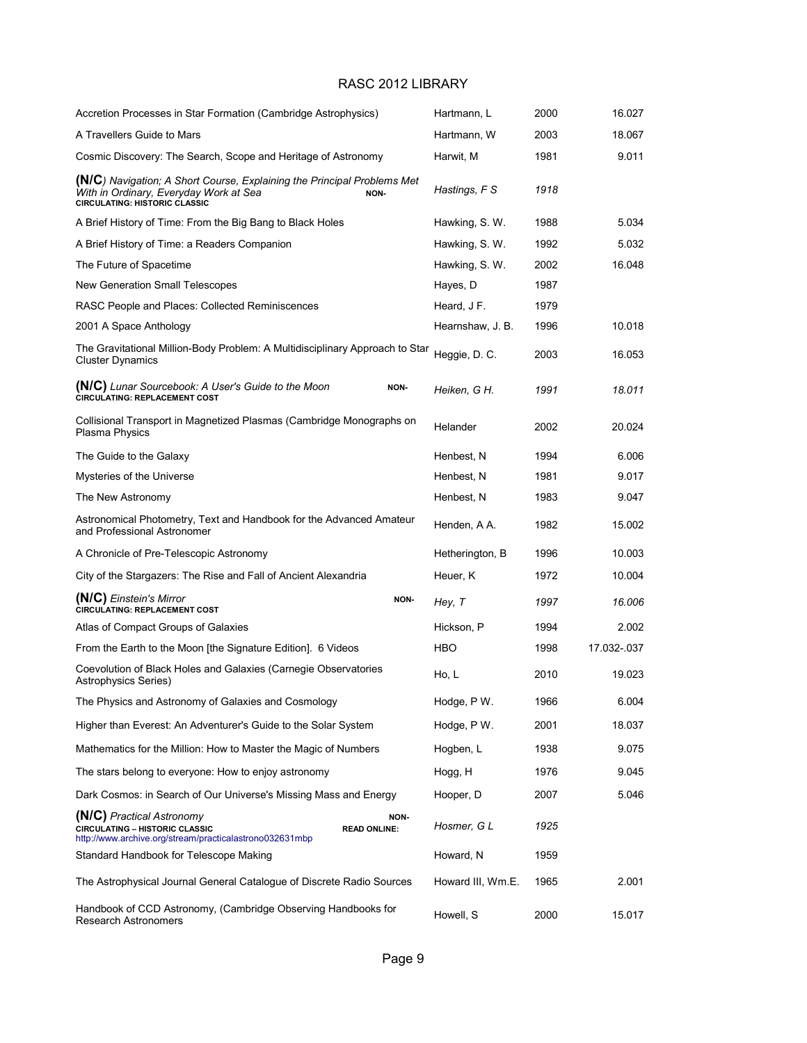| Accretion Processes in Star Formation (Cambridge Astrophysics)                                                                                                           | Hartmann, L       | 2000 | 16.027      |
|--------------------------------------------------------------------------------------------------------------------------------------------------------------------------|-------------------|------|-------------|
| A Travellers Guide to Mars                                                                                                                                               | Hartmann, W       | 2003 | 18.067      |
| Cosmic Discovery: The Search, Scope and Heritage of Astronomy                                                                                                            | Harwit, M         | 1981 | 9.011       |
| <b>(N/C)</b> Navigation; A Short Course, Explaining the Principal Problems Met<br>With in Ordinary, Everyday Work at Sea<br>NON-<br><b>CIRCULATING: HISTORIC CLASSIC</b> | Hastings, F S     | 1918 |             |
| A Brief History of Time: From the Big Bang to Black Holes                                                                                                                | Hawking, S. W.    | 1988 | 5.034       |
| A Brief History of Time: a Readers Companion                                                                                                                             | Hawking, S. W.    | 1992 | 5.032       |
| The Future of Spacetime                                                                                                                                                  | Hawking, S.W.     | 2002 | 16.048      |
| New Generation Small Telescopes                                                                                                                                          | Hayes, D          | 1987 |             |
| RASC People and Places: Collected Reminiscences                                                                                                                          | Heard, J F.       | 1979 |             |
| 2001 A Space Anthology                                                                                                                                                   | Hearnshaw, J. B.  | 1996 | 10.018      |
| The Gravitational Million-Body Problem: A Multidisciplinary Approach to Star<br><b>Cluster Dynamics</b>                                                                  | Heggie, D. C.     | 2003 | 16.053      |
| <b>(N/C)</b> Lunar Sourcebook: A User's Guide to the Moon<br>NON-<br><b>CIRCULATING: REPLACEMENT COST</b>                                                                | Heiken, G H.      | 1991 | 18.011      |
| Collisional Transport in Magnetized Plasmas (Cambridge Monographs on<br>Plasma Physics                                                                                   | Helander          | 2002 | 20.024      |
| The Guide to the Galaxy                                                                                                                                                  | Henbest, N        | 1994 | 6.006       |
| Mysteries of the Universe                                                                                                                                                | Henbest, N        | 1981 | 9.017       |
| The New Astronomy                                                                                                                                                        | Henbest, N        | 1983 | 9.047       |
| Astronomical Photometry, Text and Handbook for the Advanced Amateur<br>and Professional Astronomer                                                                       | Henden, A A.      | 1982 | 15.002      |
| A Chronicle of Pre-Telescopic Astronomy                                                                                                                                  | Hetherington, B   | 1996 | 10.003      |
| City of the Stargazers: The Rise and Fall of Ancient Alexandria                                                                                                          | Heuer, K          | 1972 | 10.004      |
| (N/C) Einstein's Mirror<br>NON-<br><b>CIRCULATING: REPLACEMENT COST</b>                                                                                                  | Hey, T            | 1997 | 16.006      |
| Atlas of Compact Groups of Galaxies                                                                                                                                      | Hickson, P        | 1994 | 2.002       |
| From the Earth to the Moon [the Signature Edition]. 6 Videos                                                                                                             | HBO               | 1998 | 17.032-.037 |
| Coevolution of Black Holes and Galaxies (Carnegie Observatories<br>Astrophysics Series)                                                                                  | Ho, L             | 2010 | 19.023      |
| The Physics and Astronomy of Galaxies and Cosmology                                                                                                                      | Hodge, P W.       | 1966 | 6.004       |
| Higher than Everest: An Adventurer's Guide to the Solar System                                                                                                           | Hodge, P W.       | 2001 | 18.037      |
| Mathematics for the Million: How to Master the Magic of Numbers                                                                                                          | Hogben, L         | 1938 | 9.075       |
| The stars belong to everyone: How to enjoy astronomy                                                                                                                     | Hogg, H           | 1976 | 9.045       |
| Dark Cosmos: in Search of Our Universe's Missing Mass and Energy                                                                                                         | Hooper, D         | 2007 | 5.046       |
| (N/C) Practical Astronomy<br>NON-<br><b>CIRCULATING - HISTORIC CLASSIC</b><br><b>READ ONLINE:</b><br>http://www.archive.org/stream/practicalastrono032631mbp             | Hosmer, G L       | 1925 |             |
| Standard Handbook for Telescope Making                                                                                                                                   | Howard, N         | 1959 |             |
| The Astrophysical Journal General Catalogue of Discrete Radio Sources                                                                                                    | Howard III, Wm.E. | 1965 | 2.001       |
| Handbook of CCD Astronomy, (Cambridge Observing Handbooks for<br>Research Astronomers                                                                                    | Howell, S         | 2000 | 15.017      |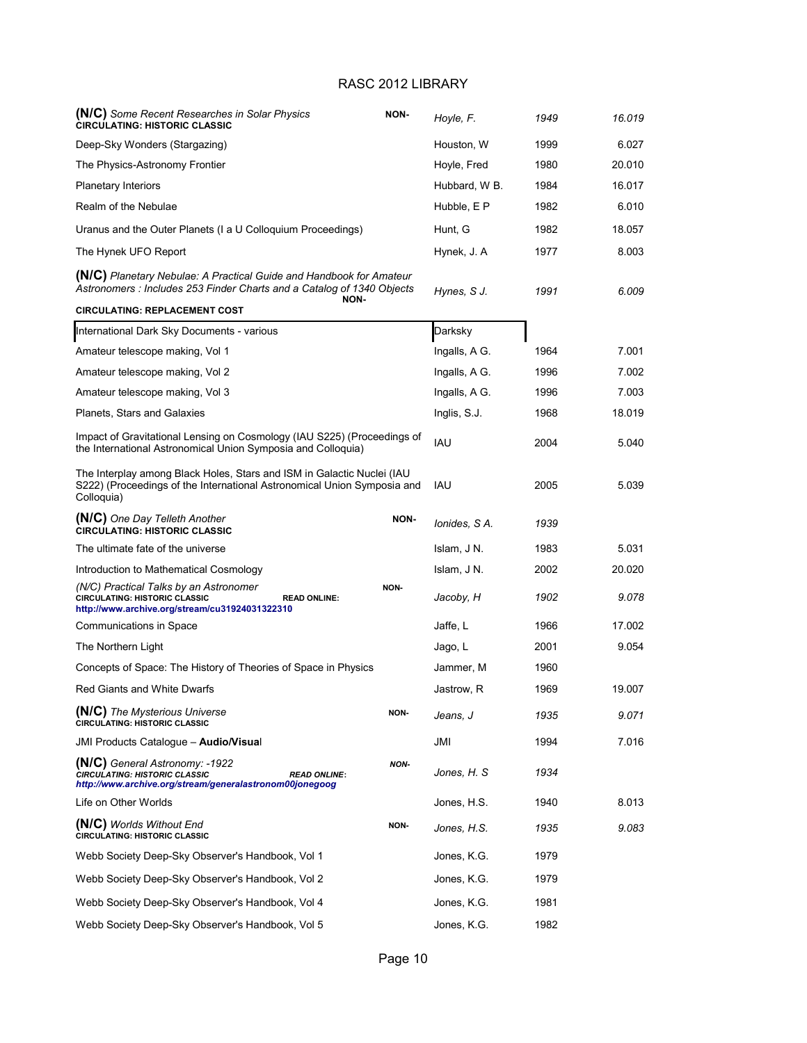| (N/C) Some Recent Researches in Solar Physics<br><b>CIRCULATING: HISTORIC CLASSIC</b>                                                                           | NON-        | Hoyle, F.     | 1949 | 16.019 |
|-----------------------------------------------------------------------------------------------------------------------------------------------------------------|-------------|---------------|------|--------|
| Deep-Sky Wonders (Stargazing)                                                                                                                                   |             | Houston, W    | 1999 | 6.027  |
| The Physics-Astronomy Frontier                                                                                                                                  |             | Hoyle, Fred   | 1980 | 20.010 |
| <b>Planetary Interiors</b>                                                                                                                                      |             | Hubbard, W B. | 1984 | 16.017 |
| Realm of the Nebulae                                                                                                                                            |             | Hubble, E P   | 1982 | 6.010  |
| Uranus and the Outer Planets (I a U Colloquium Proceedings)                                                                                                     |             | Hunt, G       | 1982 | 18.057 |
| The Hynek UFO Report                                                                                                                                            |             | Hynek, J. A   | 1977 | 8.003  |
| (N/C) Planetary Nebulae: A Practical Guide and Handbook for Amateur<br>Astronomers : Includes 253 Finder Charts and a Catalog of 1340 Objects                   |             | Hynes, S J.   | 1991 | 6.009  |
| NON-<br><b>CIRCULATING: REPLACEMENT COST</b>                                                                                                                    |             |               |      |        |
| International Dark Sky Documents - various                                                                                                                      |             | Darksky       |      |        |
| Amateur telescope making, Vol 1                                                                                                                                 |             | Ingalls, A G. | 1964 | 7.001  |
| Amateur telescope making, Vol 2                                                                                                                                 |             | Ingalls, A G. | 1996 | 7.002  |
| Amateur telescope making, Vol 3                                                                                                                                 |             | Ingalls, A G. | 1996 | 7.003  |
| Planets, Stars and Galaxies                                                                                                                                     |             | Inglis, S.J.  | 1968 | 18.019 |
| Impact of Gravitational Lensing on Cosmology (IAU S225) (Proceedings of<br>the International Astronomical Union Symposia and Colloquia)                         |             | IAU           | 2004 | 5.040  |
| The Interplay among Black Holes, Stars and ISM in Galactic Nuclei (IAU<br>S222) (Proceedings of the International Astronomical Union Symposia and<br>Colloquia) |             | IAU           | 2005 | 5.039  |
| (N/C) One Day Telleth Another<br><b>CIRCULATING: HISTORIC CLASSIC</b>                                                                                           | NON-        | Ionides, S A. | 1939 |        |
| The ultimate fate of the universe                                                                                                                               |             | Islam, J N.   | 1983 | 5.031  |
| Introduction to Mathematical Cosmology                                                                                                                          |             | Islam, J N.   | 2002 | 20.020 |
| (N/C) Practical Talks by an Astronomer<br>CIRCULATING: HISTORIC CLASSIC<br><b>READ ONLINE:</b><br>http://www.archive.org/stream/cu31924031322310                | NON-        | Jacoby, H     | 1902 | 9.078  |
| Communications in Space                                                                                                                                         |             | Jaffe, L      | 1966 | 17.002 |
| The Northern Light                                                                                                                                              |             | Jago, L       | 2001 | 9.054  |
| Concepts of Space: The History of Theories of Space in Physics                                                                                                  |             | Jammer, M     | 1960 |        |
| Red Giants and White Dwarfs                                                                                                                                     |             | Jastrow, R    | 1969 | 19.007 |
| (N/C) The Mysterious Universe<br><b>CIRCULATING: HISTORIC CLASSIC</b>                                                                                           | NON-        | Jeans, J      | 1935 | 9.071  |
| JMI Products Cataloque - Audio/Visual                                                                                                                           |             | JMI           | 1994 | 7.016  |
| (N/C) General Astronomy: -1922<br><b>CIRCULATING: HISTORIC CLASSIC</b><br><b>READ ONLINE:</b><br>http://www.archive.org/stream/generalastronom00jonegoog        | <b>NON-</b> | Jones, H. S.  | 1934 |        |
| Life on Other Worlds                                                                                                                                            |             | Jones, H.S.   | 1940 | 8.013  |
| (N/C) Worlds Without End<br><b>CIRCULATING: HISTORIC CLASSIC</b>                                                                                                | NON-        | Jones, H.S.   | 1935 | 9.083  |
| Webb Society Deep-Sky Observer's Handbook, Vol 1                                                                                                                |             | Jones, K.G.   | 1979 |        |
| Webb Society Deep-Sky Observer's Handbook, Vol 2                                                                                                                |             | Jones, K.G.   | 1979 |        |
| Webb Society Deep-Sky Observer's Handbook, Vol 4                                                                                                                |             | Jones, K.G.   | 1981 |        |
| Webb Society Deep-Sky Observer's Handbook, Vol 5                                                                                                                |             | Jones, K.G.   | 1982 |        |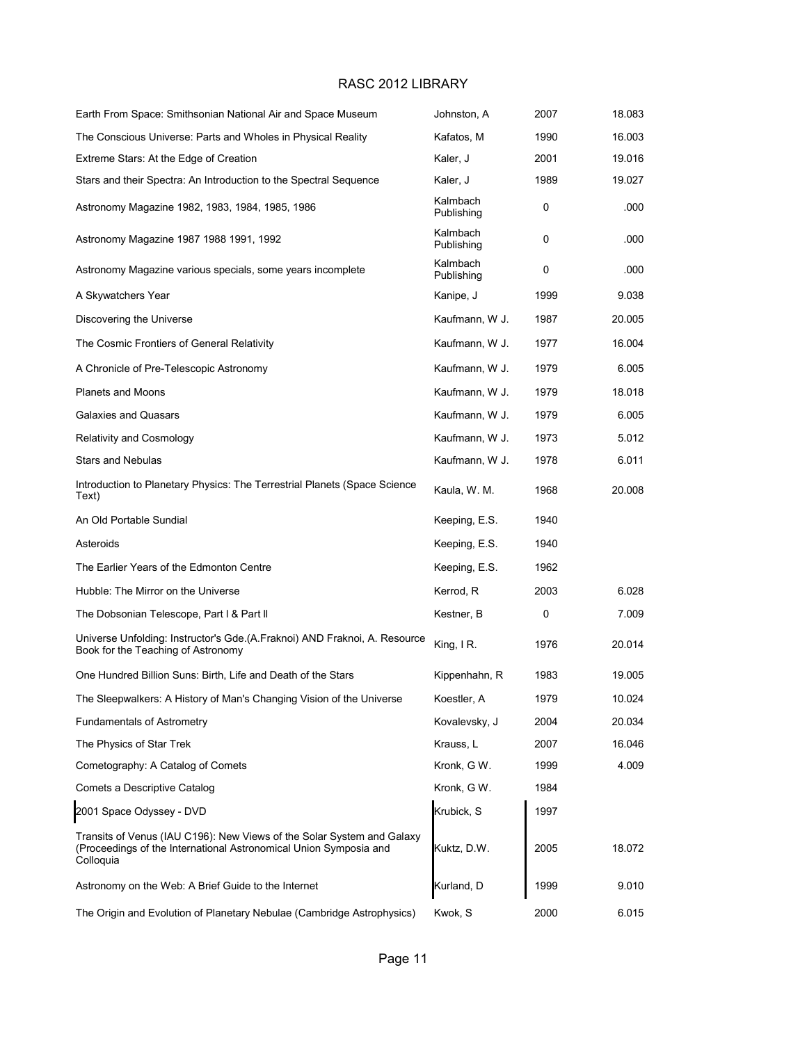| Earth From Space: Smithsonian National Air and Space Museum                                                                                              | Johnston, A            | 2007 | 18.083 |
|----------------------------------------------------------------------------------------------------------------------------------------------------------|------------------------|------|--------|
| The Conscious Universe: Parts and Wholes in Physical Reality                                                                                             | Kafatos, M             | 1990 | 16.003 |
| Extreme Stars: At the Edge of Creation                                                                                                                   | Kaler, J               | 2001 | 19.016 |
| Stars and their Spectra: An Introduction to the Spectral Sequence                                                                                        | Kaler, J               | 1989 | 19.027 |
| Astronomy Magazine 1982, 1983, 1984, 1985, 1986                                                                                                          | Kalmbach<br>Publishing | 0    | .000   |
| Astronomy Magazine 1987 1988 1991, 1992                                                                                                                  | Kalmbach<br>Publishing | 0    | .000   |
| Astronomy Magazine various specials, some years incomplete                                                                                               | Kalmbach<br>Publishing | 0    | .000   |
| A Skywatchers Year                                                                                                                                       | Kanipe, J              | 1999 | 9.038  |
| Discovering the Universe                                                                                                                                 | Kaufmann, W J.         | 1987 | 20.005 |
| The Cosmic Frontiers of General Relativity                                                                                                               | Kaufmann, W J.         | 1977 | 16.004 |
| A Chronicle of Pre-Telescopic Astronomy                                                                                                                  | Kaufmann, W J.         | 1979 | 6.005  |
| <b>Planets and Moons</b>                                                                                                                                 | Kaufmann, W J.         | 1979 | 18.018 |
| Galaxies and Quasars                                                                                                                                     | Kaufmann, W J.         | 1979 | 6.005  |
| <b>Relativity and Cosmology</b>                                                                                                                          | Kaufmann, W J.         | 1973 | 5.012  |
| Stars and Nebulas                                                                                                                                        | Kaufmann, W J.         | 1978 | 6.011  |
| Introduction to Planetary Physics: The Terrestrial Planets (Space Science<br>Text)                                                                       | Kaula, W. M.           | 1968 | 20.008 |
| An Old Portable Sundial                                                                                                                                  | Keeping, E.S.          | 1940 |        |
| Asteroids                                                                                                                                                | Keeping, E.S.          | 1940 |        |
| The Earlier Years of the Edmonton Centre                                                                                                                 | Keeping, E.S.          | 1962 |        |
| Hubble: The Mirror on the Universe                                                                                                                       | Kerrod, R              | 2003 | 6.028  |
| The Dobsonian Telescope, Part I & Part II                                                                                                                | Kestner, B             | 0    | 7.009  |
| Universe Unfolding: Instructor's Gde. (A. Fraknoi) AND Fraknoi, A. Resource<br>Book for the Teaching of Astronomy                                        | King, $IR.$            | 1976 | 20.014 |
| One Hundred Billion Suns: Birth, Life and Death of the Stars                                                                                             | Kippenhahn, R          | 1983 | 19.005 |
| The Sleepwalkers: A History of Man's Changing Vision of the Universe                                                                                     | Koestler, A            | 1979 | 10.024 |
| <b>Fundamentals of Astrometry</b>                                                                                                                        | Kovalevsky, J          | 2004 | 20.034 |
| The Physics of Star Trek                                                                                                                                 | Krauss, L              | 2007 | 16.046 |
| Cometography: A Catalog of Comets                                                                                                                        | Kronk, G W.            | 1999 | 4.009  |
| Comets a Descriptive Catalog                                                                                                                             | Kronk, G W.            | 1984 |        |
| 2001 Space Odyssey - DVD                                                                                                                                 | Krubick, S             | 1997 |        |
| Transits of Venus (IAU C196): New Views of the Solar System and Galaxy<br>(Proceedings of the International Astronomical Union Symposia and<br>Colloquia | Kuktz, D.W.            | 2005 | 18.072 |
| Astronomy on the Web: A Brief Guide to the Internet                                                                                                      | Kurland, D             | 1999 | 9.010  |
| The Origin and Evolution of Planetary Nebulae (Cambridge Astrophysics)                                                                                   | Kwok, S                | 2000 | 6.015  |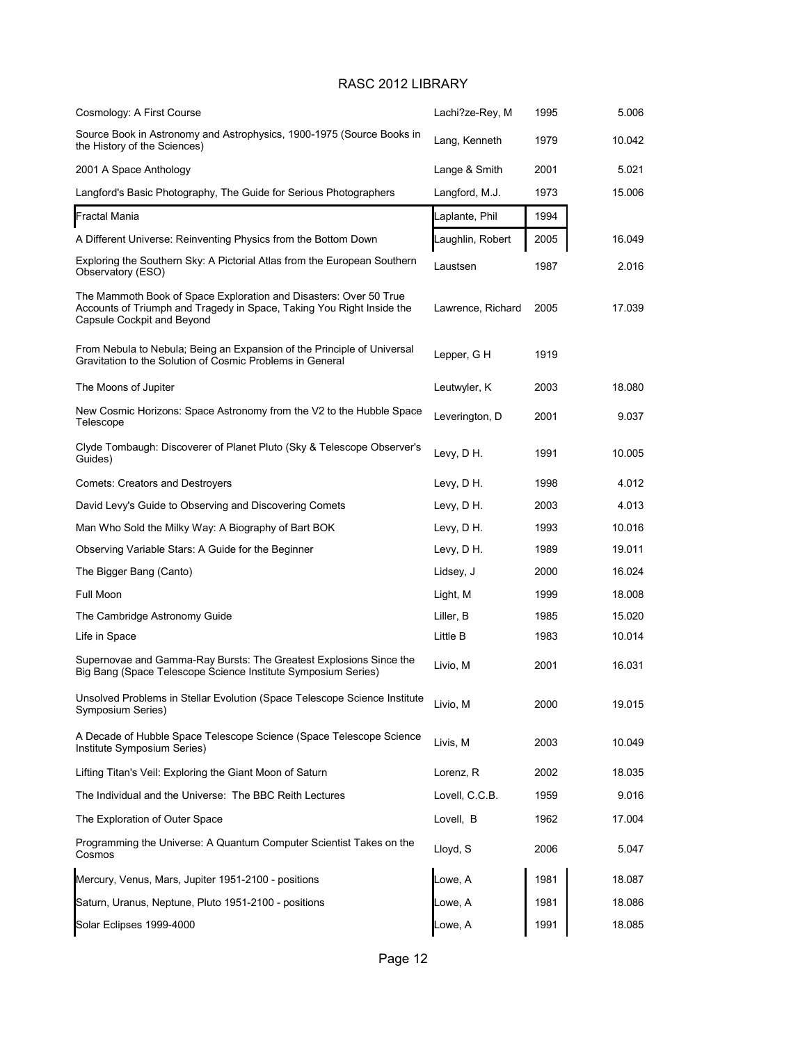| Cosmology: A First Course                                                                                                                                                | Lachi?ze-Rey, M   | 1995 | 5.006  |
|--------------------------------------------------------------------------------------------------------------------------------------------------------------------------|-------------------|------|--------|
| Source Book in Astronomy and Astrophysics, 1900-1975 (Source Books in<br>the History of the Sciences)                                                                    | Lang, Kenneth     | 1979 | 10.042 |
| 2001 A Space Anthology                                                                                                                                                   | Lange & Smith     | 2001 | 5.021  |
| Langford's Basic Photography, The Guide for Serious Photographers                                                                                                        | Langford, M.J.    | 1973 | 15.006 |
| Fractal Mania                                                                                                                                                            | Laplante, Phil    | 1994 |        |
| A Different Universe: Reinventing Physics from the Bottom Down                                                                                                           | Laughlin, Robert  | 2005 | 16.049 |
| Exploring the Southern Sky: A Pictorial Atlas from the European Southern<br>Observatory (ESO)                                                                            | Laustsen          | 1987 | 2.016  |
| The Mammoth Book of Space Exploration and Disasters: Over 50 True<br>Accounts of Triumph and Tragedy in Space, Taking You Right Inside the<br>Capsule Cockpit and Beyond | Lawrence, Richard | 2005 | 17.039 |
| From Nebula to Nebula; Being an Expansion of the Principle of Universal<br>Gravitation to the Solution of Cosmic Problems in General                                     | Lepper, GH        | 1919 |        |
| The Moons of Jupiter                                                                                                                                                     | Leutwyler, K      | 2003 | 18.080 |
| New Cosmic Horizons: Space Astronomy from the V2 to the Hubble Space<br>Telescope                                                                                        | Leverington, D    | 2001 | 9.037  |
| Clyde Tombaugh: Discoverer of Planet Pluto (Sky & Telescope Observer's<br>Guides)                                                                                        | Levy, D H.        | 1991 | 10.005 |
| <b>Comets: Creators and Destroyers</b>                                                                                                                                   | Levy, D H.        | 1998 | 4.012  |
| David Levy's Guide to Observing and Discovering Comets                                                                                                                   | Levy, D H.        | 2003 | 4.013  |
| Man Who Sold the Milky Way: A Biography of Bart BOK                                                                                                                      | Levy, D H.        | 1993 | 10.016 |
| Observing Variable Stars: A Guide for the Beginner                                                                                                                       | Levy, D H.        | 1989 | 19.011 |
| The Bigger Bang (Canto)                                                                                                                                                  | Lidsey, J         | 2000 | 16.024 |
| Full Moon                                                                                                                                                                | Light, M          | 1999 | 18.008 |
| The Cambridge Astronomy Guide                                                                                                                                            | Liller, B         | 1985 | 15.020 |
| Life in Space                                                                                                                                                            | Little B          | 1983 | 10.014 |
| Supernovae and Gamma-Ray Bursts: The Greatest Explosions Since the<br>Big Bang (Space Telescope Science Institute Symposium Series)                                      | Livio, M          | 2001 | 16.031 |
| Unsolved Problems in Stellar Evolution (Space Telescope Science Institute<br>Symposium Series)                                                                           | Livio, M          | 2000 | 19.015 |
| A Decade of Hubble Space Telescope Science (Space Telescope Science<br>Institute Symposium Series)                                                                       | Livis, M          | 2003 | 10.049 |
| Lifting Titan's Veil: Exploring the Giant Moon of Saturn                                                                                                                 | Lorenz, R         | 2002 | 18.035 |
| The Individual and the Universe: The BBC Reith Lectures                                                                                                                  | Lovell, C.C.B.    | 1959 | 9.016  |
| The Exploration of Outer Space                                                                                                                                           | Lovell, B         | 1962 | 17.004 |
| Programming the Universe: A Quantum Computer Scientist Takes on the<br>Cosmos                                                                                            | Lloyd, S          | 2006 | 5.047  |
| Mercury, Venus, Mars, Jupiter 1951-2100 - positions                                                                                                                      | Lowe, A           | 1981 | 18.087 |
| Saturn, Uranus, Neptune, Pluto 1951-2100 - positions                                                                                                                     | Lowe, A           | 1981 | 18.086 |
| Solar Eclipses 1999-4000                                                                                                                                                 | Lowe, A           | 1991 | 18.085 |
|                                                                                                                                                                          |                   |      |        |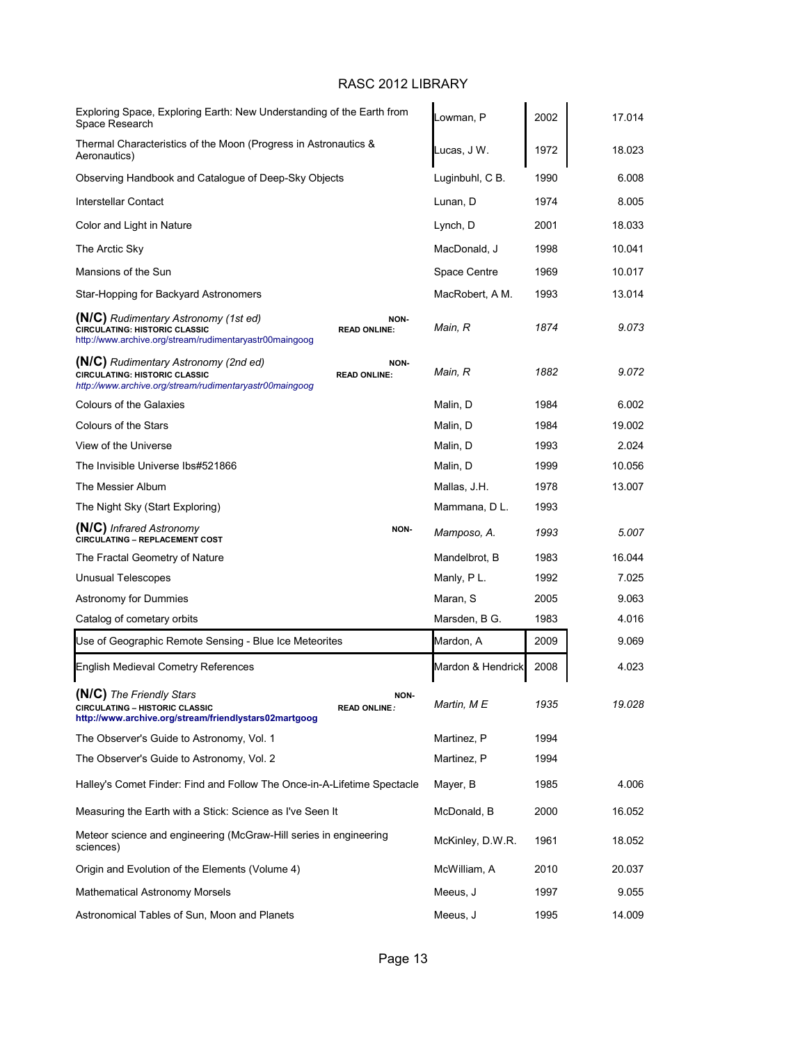| Exploring Space, Exploring Earth: New Understanding of the Earth from<br>Space Research                                                 |                             | Lowman, P         | 2002 | 17.014 |
|-----------------------------------------------------------------------------------------------------------------------------------------|-----------------------------|-------------------|------|--------|
| Thermal Characteristics of the Moon (Progress in Astronautics &<br>Aeronautics)                                                         |                             | Lucas, J W.       | 1972 | 18.023 |
| Observing Handbook and Catalogue of Deep-Sky Objects                                                                                    |                             | Luginbuhl, C B.   | 1990 | 6.008  |
| Interstellar Contact                                                                                                                    |                             | Lunan, D          | 1974 | 8.005  |
| Color and Light in Nature                                                                                                               |                             | Lynch, D          | 2001 | 18.033 |
| The Arctic Sky                                                                                                                          |                             | MacDonald, J      | 1998 | 10.041 |
| Mansions of the Sun                                                                                                                     |                             | Space Centre      | 1969 | 10.017 |
| Star-Hopping for Backyard Astronomers                                                                                                   |                             | MacRobert, A M.   | 1993 | 13.014 |
| (N/C) Rudimentary Astronomy (1st ed)<br><b>CIRCULATING: HISTORIC CLASSIC</b><br>http://www.archive.org/stream/rudimentaryastr00maingoog | NON-<br><b>READ ONLINE:</b> | Main, R           | 1874 | 9.073  |
| (N/C) Rudimentary Astronomy (2nd ed)<br><b>CIRCULATING: HISTORIC CLASSIC</b><br>http://www.archive.org/stream/rudimentaryastr00maingoog | NON-<br><b>READ ONLINE:</b> | Main, R           | 1882 | 9.072  |
| <b>Colours of the Galaxies</b>                                                                                                          |                             | Malin, D          | 1984 | 6.002  |
| <b>Colours of the Stars</b>                                                                                                             |                             | Malin, D          | 1984 | 19.002 |
| View of the Universe                                                                                                                    |                             | Malin, D          | 1993 | 2.024  |
| The Invisible Universe Ibs#521866                                                                                                       |                             | Malin, D          | 1999 | 10.056 |
| The Messier Album                                                                                                                       |                             | Mallas, J.H.      | 1978 | 13.007 |
| The Night Sky (Start Exploring)                                                                                                         |                             | Mammana, D L.     | 1993 |        |
| (N/C) Infrared Astronomy<br><b>CIRCULATING - REPLACEMENT COST</b>                                                                       | NON-                        | Mamposo, A.       | 1993 | 5.007  |
| The Fractal Geometry of Nature                                                                                                          |                             | Mandelbrot, B     | 1983 | 16.044 |
| <b>Unusual Telescopes</b>                                                                                                               |                             | Manly, PL.        | 1992 | 7.025  |
| Astronomy for Dummies                                                                                                                   |                             | Maran, S          | 2005 | 9.063  |
| Catalog of cometary orbits                                                                                                              |                             | Marsden, B G.     | 1983 | 4.016  |
| Use of Geographic Remote Sensing - Blue Ice Meteorites                                                                                  |                             | Mardon, A         | 2009 | 9.069  |
| English Medieval Cometry References                                                                                                     |                             | Mardon & Hendrick | 2008 | 4.023  |
| (N/C) The Friendly Stars<br>CIRCULATING - HISTORIC CLASSIC<br>http://www.archive.org/stream/friendlystars02martgoog                     | NON-<br><b>READ ONLINE:</b> | Martin, M E       | 1935 | 19.028 |
| The Observer's Guide to Astronomy, Vol. 1                                                                                               |                             | Martinez, P       | 1994 |        |
| The Observer's Guide to Astronomy, Vol. 2                                                                                               |                             | Martinez, P       | 1994 |        |
| Halley's Comet Finder: Find and Follow The Once-in-A-Lifetime Spectacle                                                                 |                             | Mayer, B          | 1985 | 4.006  |
| Measuring the Earth with a Stick: Science as I've Seen It                                                                               |                             | McDonald, B       | 2000 | 16.052 |
| Meteor science and engineering (McGraw-Hill series in engineering<br>sciences)                                                          |                             | McKinley, D.W.R.  | 1961 | 18.052 |
| Origin and Evolution of the Elements (Volume 4)                                                                                         |                             | McWilliam, A      | 2010 | 20.037 |
| <b>Mathematical Astronomy Morsels</b>                                                                                                   |                             | Meeus, J          | 1997 | 9.055  |
| Astronomical Tables of Sun, Moon and Planets                                                                                            |                             | Meeus, J          | 1995 | 14.009 |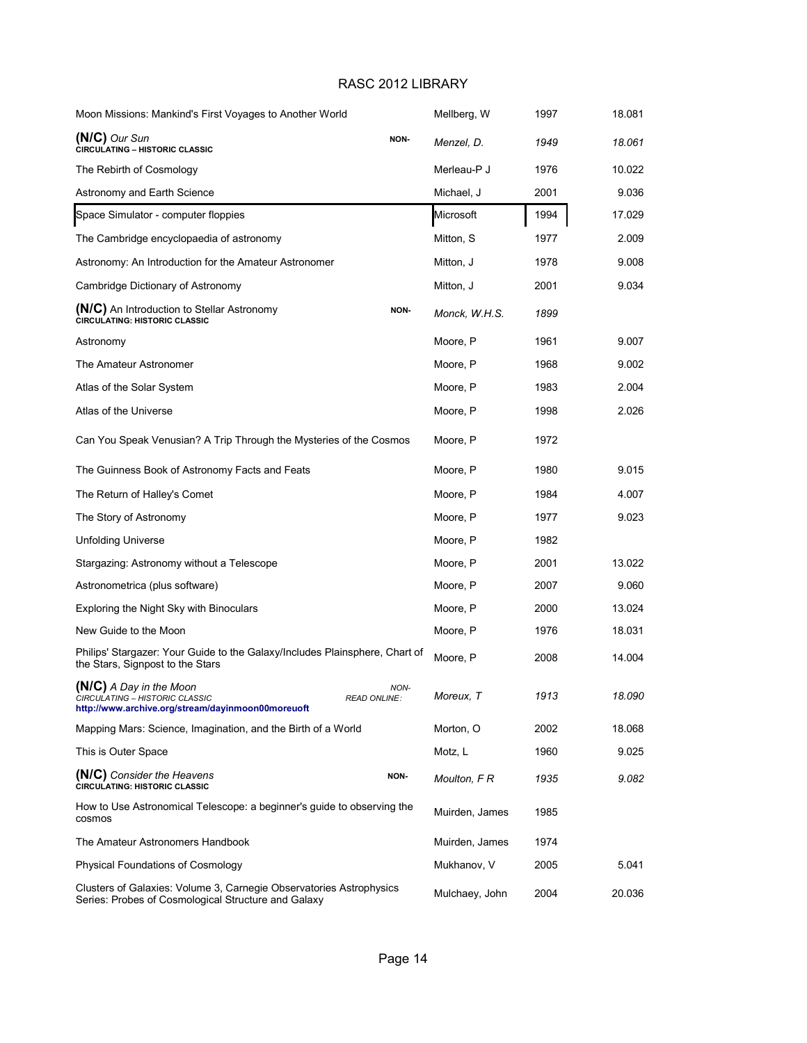| Moon Missions: Mankind's First Voyages to Another World                                                                    |                             | Mellberg, W    | 1997 | 18.081 |
|----------------------------------------------------------------------------------------------------------------------------|-----------------------------|----------------|------|--------|
| $(N/C)$ Our Sun<br><b>CIRCULATING - HISTORIC CLASSIC</b>                                                                   | NON-                        | Menzel, D.     | 1949 | 18.061 |
| The Rebirth of Cosmology                                                                                                   |                             | Merleau-P J    | 1976 | 10.022 |
| Astronomy and Earth Science                                                                                                |                             | Michael, J     | 2001 | 9.036  |
| Space Simulator - computer floppies                                                                                        |                             | Microsoft      | 1994 | 17.029 |
| The Cambridge encyclopaedia of astronomy                                                                                   |                             | Mitton, S      | 1977 | 2.009  |
| Astronomy: An Introduction for the Amateur Astronomer                                                                      |                             | Mitton, J      | 1978 | 9.008  |
| Cambridge Dictionary of Astronomy                                                                                          |                             | Mitton, J      | 2001 | 9.034  |
| (N/C) An Introduction to Stellar Astronomy<br><b>CIRCULATING: HISTORIC CLASSIC</b>                                         | NON-                        | Monck, W.H.S.  | 1899 |        |
| Astronomy                                                                                                                  |                             | Moore, P       | 1961 | 9.007  |
| The Amateur Astronomer                                                                                                     |                             | Moore, P       | 1968 | 9.002  |
| Atlas of the Solar System                                                                                                  |                             | Moore, P       | 1983 | 2.004  |
| Atlas of the Universe                                                                                                      |                             | Moore, P       | 1998 | 2.026  |
| Can You Speak Venusian? A Trip Through the Mysteries of the Cosmos                                                         |                             | Moore, P       | 1972 |        |
| The Guinness Book of Astronomy Facts and Feats                                                                             |                             | Moore, P       | 1980 | 9.015  |
| The Return of Halley's Comet                                                                                               |                             | Moore, P       | 1984 | 4.007  |
| The Story of Astronomy                                                                                                     |                             | Moore, P       | 1977 | 9.023  |
| <b>Unfolding Universe</b>                                                                                                  |                             | Moore, P       | 1982 |        |
| Stargazing: Astronomy without a Telescope                                                                                  |                             | Moore, P       | 2001 | 13.022 |
| Astronometrica (plus software)                                                                                             |                             | Moore, P       | 2007 | 9.060  |
| Exploring the Night Sky with Binoculars                                                                                    |                             | Moore, P       | 2000 | 13.024 |
| New Guide to the Moon                                                                                                      |                             | Moore, P       | 1976 | 18.031 |
| Philips' Stargazer: Your Guide to the Galaxy/Includes Plainsphere, Chart of<br>the Stars, Signpost to the Stars            |                             | Moore, P       | 2008 | 14.004 |
| (N/C) A Day in the Moon<br>CIRCULATING - HISTORIC CLASSIC<br>http://www.archive.org/stream/dayinmoon00moreuoft             | NON-<br><b>READ ONLINE:</b> | Moreux, T      | 1913 | 18.090 |
| Mapping Mars: Science, Imagination, and the Birth of a World                                                               |                             | Morton, O      | 2002 | 18.068 |
| This is Outer Space                                                                                                        |                             | Motz, L        | 1960 | 9.025  |
| (N/C) Consider the Heavens<br><b>CIRCULATING: HISTORIC CLASSIC</b>                                                         | <b>NON-</b>                 | Moulton, F R   | 1935 | 9.082  |
| How to Use Astronomical Telescope: a beginner's quide to observing the<br>cosmos                                           |                             | Muirden, James | 1985 |        |
| The Amateur Astronomers Handbook                                                                                           |                             | Muirden, James | 1974 |        |
| <b>Physical Foundations of Cosmology</b>                                                                                   |                             | Mukhanov, V    | 2005 | 5.041  |
| Clusters of Galaxies: Volume 3, Carnegie Observatories Astrophysics<br>Series: Probes of Cosmological Structure and Galaxy |                             | Mulchaey, John | 2004 | 20.036 |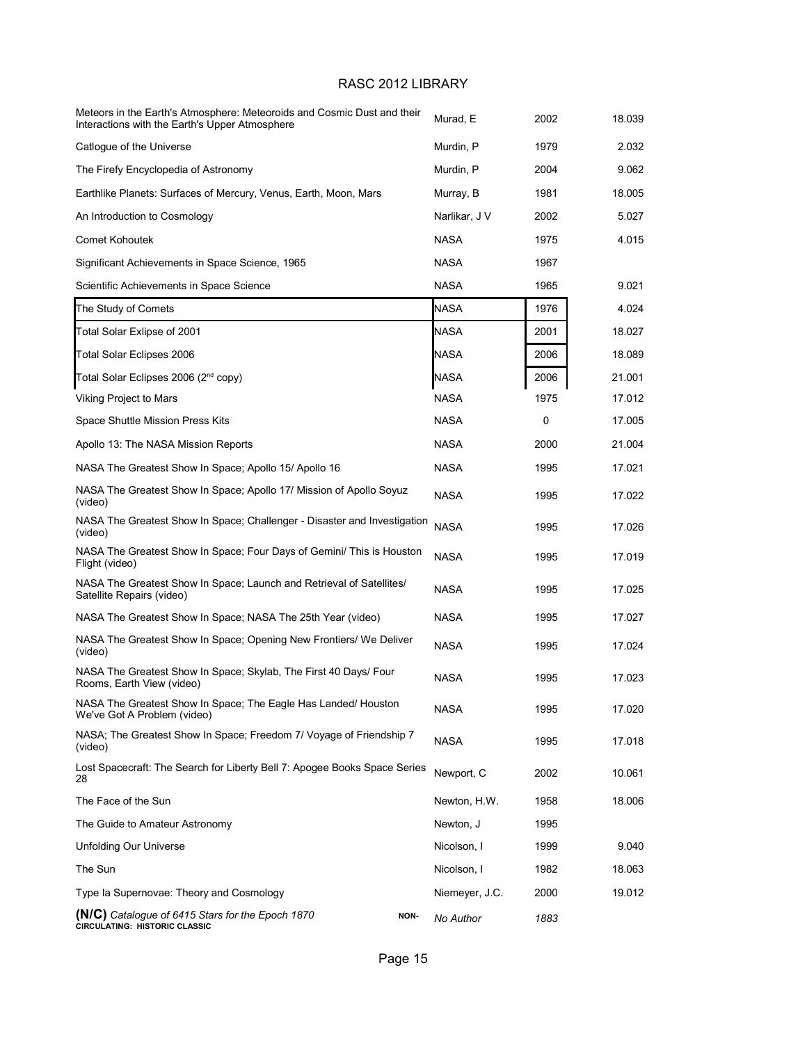| Meteors in the Earth's Atmosphere: Meteoroids and Cosmic Dust and their<br>Interactions with the Earth's Upper Atmosphere | Murad, E       | 2002 | 18.039 |
|---------------------------------------------------------------------------------------------------------------------------|----------------|------|--------|
| Catlogue of the Universe                                                                                                  | Murdin, P      | 1979 | 2.032  |
| The Firefy Encyclopedia of Astronomy                                                                                      | Murdin, P      | 2004 | 9.062  |
| Earthlike Planets: Surfaces of Mercury, Venus, Earth, Moon, Mars                                                          | Murray, B      | 1981 | 18.005 |
| An Introduction to Cosmology                                                                                              | Narlikar, J V  | 2002 | 5.027  |
| <b>Comet Kohoutek</b>                                                                                                     | <b>NASA</b>    | 1975 | 4.015  |
| Significant Achievements in Space Science, 1965                                                                           | <b>NASA</b>    | 1967 |        |
| Scientific Achievements in Space Science                                                                                  | <b>NASA</b>    | 1965 | 9.021  |
| The Study of Comets                                                                                                       | <b>NASA</b>    | 1976 | 4.024  |
| Total Solar Exlipse of 2001                                                                                               | NASA           | 2001 | 18.027 |
| Total Solar Eclipses 2006                                                                                                 | <b>NASA</b>    | 2006 | 18.089 |
| Total Solar Eclipses 2006 (2 <sup>nd</sup> copy)                                                                          | <b>NASA</b>    | 2006 | 21.001 |
| Viking Project to Mars                                                                                                    | <b>NASA</b>    | 1975 | 17.012 |
| Space Shuttle Mission Press Kits                                                                                          | <b>NASA</b>    | 0    | 17.005 |
| Apollo 13: The NASA Mission Reports                                                                                       | <b>NASA</b>    | 2000 | 21.004 |
| NASA The Greatest Show In Space; Apollo 15/ Apollo 16                                                                     | <b>NASA</b>    | 1995 | 17.021 |
| NASA The Greatest Show In Space; Apollo 17/ Mission of Apollo Soyuz<br>(video)                                            | <b>NASA</b>    | 1995 | 17.022 |
| NASA The Greatest Show In Space; Challenger - Disaster and Investigation<br>(video)                                       | <b>NASA</b>    | 1995 | 17.026 |
| NASA The Greatest Show In Space; Four Days of Gemini/ This is Houston<br>Flight (video)                                   | <b>NASA</b>    | 1995 | 17.019 |
| NASA The Greatest Show In Space; Launch and Retrieval of Satellites/<br>Satellite Repairs (video)                         | <b>NASA</b>    | 1995 | 17.025 |
| NASA The Greatest Show In Space; NASA The 25th Year (video)                                                               | <b>NASA</b>    | 1995 | 17.027 |
| NASA The Greatest Show In Space; Opening New Frontiers/ We Deliver<br>(video)                                             | <b>NASA</b>    | 1995 | 17.024 |
| NASA The Greatest Show In Space; Skylab, The First 40 Days/ Four<br>Rooms, Earth View (video)                             | NASA           | 1995 | 17.023 |
| NASA The Greatest Show In Space; The Eagle Has Landed/ Houston<br>We've Got A Problem (video)                             | <b>NASA</b>    | 1995 | 17.020 |
| NASA: The Greatest Show In Space; Freedom 7/ Voyage of Friendship 7<br>(video)                                            | <b>NASA</b>    | 1995 | 17.018 |
| Lost Spacecraft: The Search for Liberty Bell 7: Apogee Books Space Series<br>28                                           | Newport, C     | 2002 | 10.061 |
| The Face of the Sun                                                                                                       | Newton, H.W.   | 1958 | 18.006 |
| The Guide to Amateur Astronomy                                                                                            | Newton, J      | 1995 |        |
| <b>Unfolding Our Universe</b>                                                                                             | Nicolson, I    | 1999 | 9.040  |
| The Sun                                                                                                                   | Nicolson, I    | 1982 | 18.063 |
| Type Ia Supernovae: Theory and Cosmology                                                                                  | Niemeyer, J.C. | 2000 | 19.012 |
| (N/C) Catalogue of 6415 Stars for the Epoch 1870<br>NON-<br>CIRCULATING: HISTORIC CLASSIC                                 | No Author      | 1883 |        |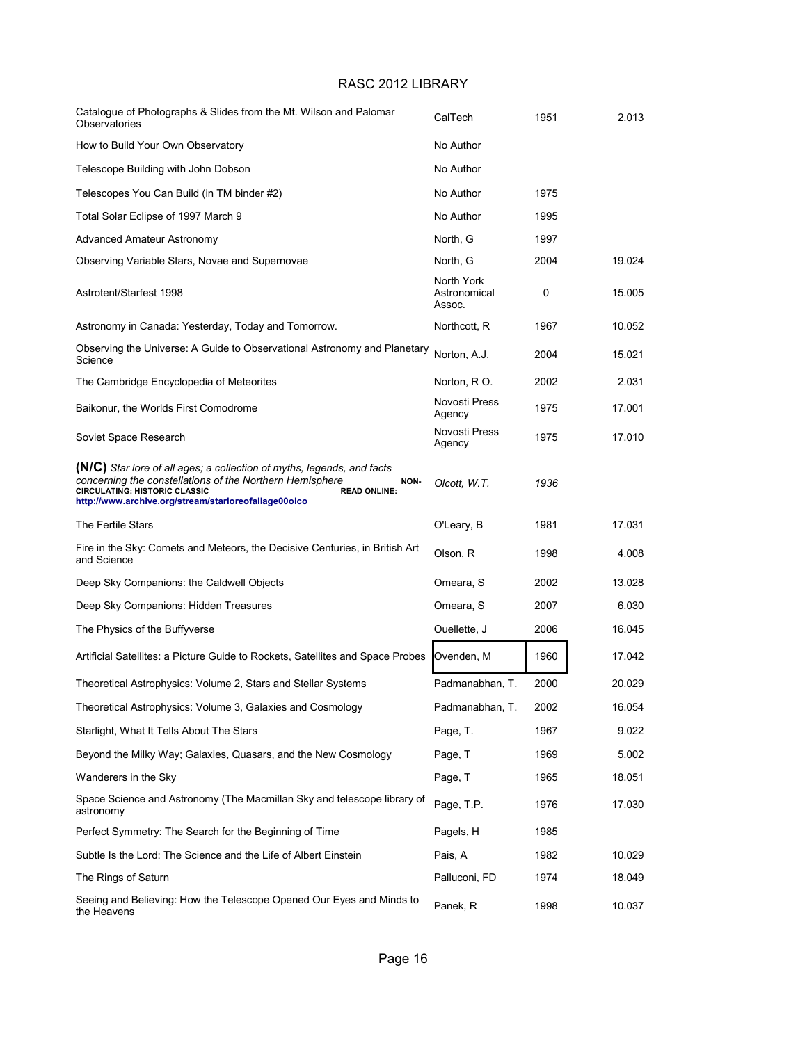| Catalogue of Photographs & Slides from the Mt. Wilson and Palomar<br>Observatories                                                                                                                                                                                | CalTech                              | 1951 | 2.013  |
|-------------------------------------------------------------------------------------------------------------------------------------------------------------------------------------------------------------------------------------------------------------------|--------------------------------------|------|--------|
| How to Build Your Own Observatory                                                                                                                                                                                                                                 | No Author                            |      |        |
| Telescope Building with John Dobson                                                                                                                                                                                                                               | No Author                            |      |        |
| Telescopes You Can Build (in TM binder #2)                                                                                                                                                                                                                        | No Author                            | 1975 |        |
| Total Solar Eclipse of 1997 March 9                                                                                                                                                                                                                               | No Author                            | 1995 |        |
| Advanced Amateur Astronomy                                                                                                                                                                                                                                        | North, G                             | 1997 |        |
| Observing Variable Stars, Novae and Supernovae                                                                                                                                                                                                                    | North. G                             | 2004 | 19.024 |
| Astrotent/Starfest 1998                                                                                                                                                                                                                                           | North York<br>Astronomical<br>Assoc. | 0    | 15.005 |
| Astronomy in Canada: Yesterday, Today and Tomorrow.                                                                                                                                                                                                               | Northcott, R                         | 1967 | 10.052 |
| Observing the Universe: A Guide to Observational Astronomy and Planetary<br>Science                                                                                                                                                                               | Norton, A.J.                         | 2004 | 15.021 |
| The Cambridge Encyclopedia of Meteorites                                                                                                                                                                                                                          | Norton, R O.                         | 2002 | 2.031  |
| Baikonur, the Worlds First Comodrome                                                                                                                                                                                                                              | Novosti Press<br>Agency              | 1975 | 17.001 |
| Soviet Space Research                                                                                                                                                                                                                                             | Novosti Press<br>Agency              | 1975 | 17.010 |
| (N/C) Star lore of all ages; a collection of myths, legends, and facts<br>concerning the constellations of the Northern Hemisphere<br>NON-<br><b>CIRCULATING: HISTORIC CLASSIC</b><br><b>READ ONLINE:</b><br>http://www.archive.org/stream/starloreofallage00olco | Olcott, W.T.                         | 1936 |        |
| The Fertile Stars                                                                                                                                                                                                                                                 | O'Leary, B                           | 1981 | 17.031 |
| Fire in the Sky: Comets and Meteors, the Decisive Centuries, in British Art<br>and Science                                                                                                                                                                        | Olson, R                             | 1998 | 4.008  |
| Deep Sky Companions: the Caldwell Objects                                                                                                                                                                                                                         | Omeara, S                            | 2002 | 13.028 |
| Deep Sky Companions: Hidden Treasures                                                                                                                                                                                                                             | Omeara, S                            | 2007 | 6.030  |
| The Physics of the Buffyverse                                                                                                                                                                                                                                     | Ouellette, J                         | 2006 | 16.045 |
| Artificial Satellites: a Picture Guide to Rockets, Satellites and Space Probes                                                                                                                                                                                    | Ovenden, M                           | 1960 | 17.042 |
| Theoretical Astrophysics: Volume 2, Stars and Stellar Systems                                                                                                                                                                                                     | Padmanabhan, T.                      | 2000 | 20.029 |
| Theoretical Astrophysics: Volume 3, Galaxies and Cosmology                                                                                                                                                                                                        | Padmanabhan, T.                      | 2002 | 16.054 |
| Starlight, What It Tells About The Stars                                                                                                                                                                                                                          | Page, T.                             | 1967 | 9.022  |
| Beyond the Milky Way; Galaxies, Quasars, and the New Cosmology                                                                                                                                                                                                    | Page, T                              | 1969 | 5.002  |
| Wanderers in the Sky                                                                                                                                                                                                                                              | Page, T                              | 1965 | 18.051 |
| Space Science and Astronomy (The Macmillan Sky and telescope library of<br>astronomy                                                                                                                                                                              | Page, T.P.                           | 1976 | 17.030 |
| Perfect Symmetry: The Search for the Beginning of Time                                                                                                                                                                                                            | Pagels, H                            | 1985 |        |
| Subtle Is the Lord: The Science and the Life of Albert Einstein                                                                                                                                                                                                   | Pais, A                              | 1982 | 10.029 |
| The Rings of Saturn                                                                                                                                                                                                                                               | Palluconi, FD                        | 1974 | 18.049 |
| Seeing and Believing: How the Telescope Opened Our Eyes and Minds to<br>the Heavens                                                                                                                                                                               | Panek, R                             | 1998 | 10.037 |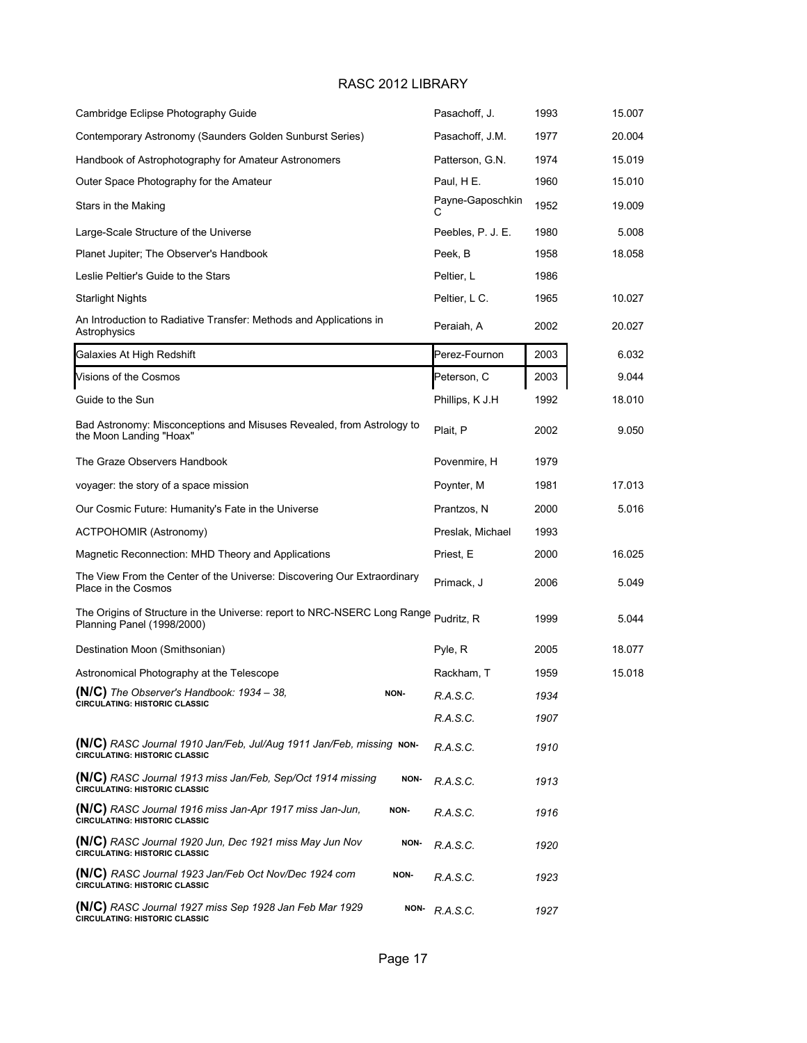| Cambridge Eclipse Photography Guide                                                                               | Pasachoff, J.         | 1993 | 15.007 |
|-------------------------------------------------------------------------------------------------------------------|-----------------------|------|--------|
| Contemporary Astronomy (Saunders Golden Sunburst Series)                                                          | Pasachoff, J.M.       | 1977 | 20.004 |
| Handbook of Astrophotography for Amateur Astronomers                                                              | Patterson, G.N.       | 1974 | 15.019 |
| Outer Space Photography for the Amateur                                                                           | Paul, H E.            | 1960 | 15.010 |
| Stars in the Making                                                                                               | Payne-Gaposchkin<br>С | 1952 | 19.009 |
| Large-Scale Structure of the Universe                                                                             | Peebles, P. J. E.     | 1980 | 5.008  |
| Planet Jupiter; The Observer's Handbook                                                                           | Peek, B               | 1958 | 18.058 |
| Leslie Peltier's Guide to the Stars                                                                               | Peltier, L            | 1986 |        |
| Starlight Nights                                                                                                  | Peltier, L C.         | 1965 | 10.027 |
| An Introduction to Radiative Transfer: Methods and Applications in<br>Astrophysics                                | Peraiah, A            | 2002 | 20.027 |
| Galaxies At High Redshift                                                                                         | Perez-Fournon         | 2003 | 6.032  |
| Visions of the Cosmos                                                                                             | Peterson, C           | 2003 | 9.044  |
| Guide to the Sun                                                                                                  | Phillips, K J.H       | 1992 | 18.010 |
| Bad Astronomy: Misconceptions and Misuses Revealed, from Astrology to<br>the Moon Landing "Hoax"                  | Plait, P              | 2002 | 9.050  |
| The Graze Observers Handbook                                                                                      | Povenmire, H          | 1979 |        |
| voyager: the story of a space mission                                                                             | Poynter, M            | 1981 | 17.013 |
| Our Cosmic Future: Humanity's Fate in the Universe                                                                | Prantzos, N           | 2000 | 5.016  |
| <b>ACTPOHOMIR (Astronomy)</b>                                                                                     | Preslak, Michael      | 1993 |        |
| Magnetic Reconnection: MHD Theory and Applications                                                                | Priest, E             | 2000 | 16.025 |
| The View From the Center of the Universe: Discovering Our Extraordinary<br>Place in the Cosmos                    | Primack, J            | 2006 | 5.049  |
| The Origins of Structure in the Universe: report to NRC-NSERC Long Range Pudritz, R<br>Planning Panel (1998/2000) |                       | 1999 | 5.044  |
| Destination Moon (Smithsonian)                                                                                    | Pyle, R               | 2005 | 18.077 |
| Astronomical Photography at the Telescope                                                                         | Rackham, T            | 1959 | 15.018 |
| (N/C) The Observer's Handbook: 1934 - 38,<br>NON-<br><b>CIRCULATING: HISTORIC CLASSIC</b>                         | R.A.S.C.              | 1934 |        |
|                                                                                                                   | R.A.S.C.              | 1907 |        |
| (N/C) RASC Journal 1910 Jan/Feb, Jul/Aug 1911 Jan/Feb, missing NON-<br><b>CIRCULATING: HISTORIC CLASSIC</b>       | R.A.S.C.              | 1910 |        |
| (N/C) RASC Journal 1913 miss Jan/Feb, Sep/Oct 1914 missing<br>NON-<br><b>CIRCULATING: HISTORIC CLASSIC</b>        | R.A.S.C.              | 1913 |        |
| (N/C) RASC Journal 1916 miss Jan-Apr 1917 miss Jan-Jun,<br>NON-<br><b>CIRCULATING: HISTORIC CLASSIC</b>           | R.A.S.C.              | 1916 |        |
| (N/C) RASC Journal 1920 Jun, Dec 1921 miss May Jun Nov<br>NON-<br><b>CIRCULATING: HISTORIC CLASSIC</b>            | R.A.S.C.              | 1920 |        |
| (N/C) RASC Journal 1923 Jan/Feb Oct Nov/Dec 1924 com<br>NON-<br><b>CIRCULATING: HISTORIC CLASSIC</b>              | R.A.S.C.              | 1923 |        |
| (N/C) RASC Journal 1927 miss Sep 1928 Jan Feb Mar 1929<br>NON-<br><b>CIRCULATING: HISTORIC CLASSIC</b>            | R.A.S.C.              | 1927 |        |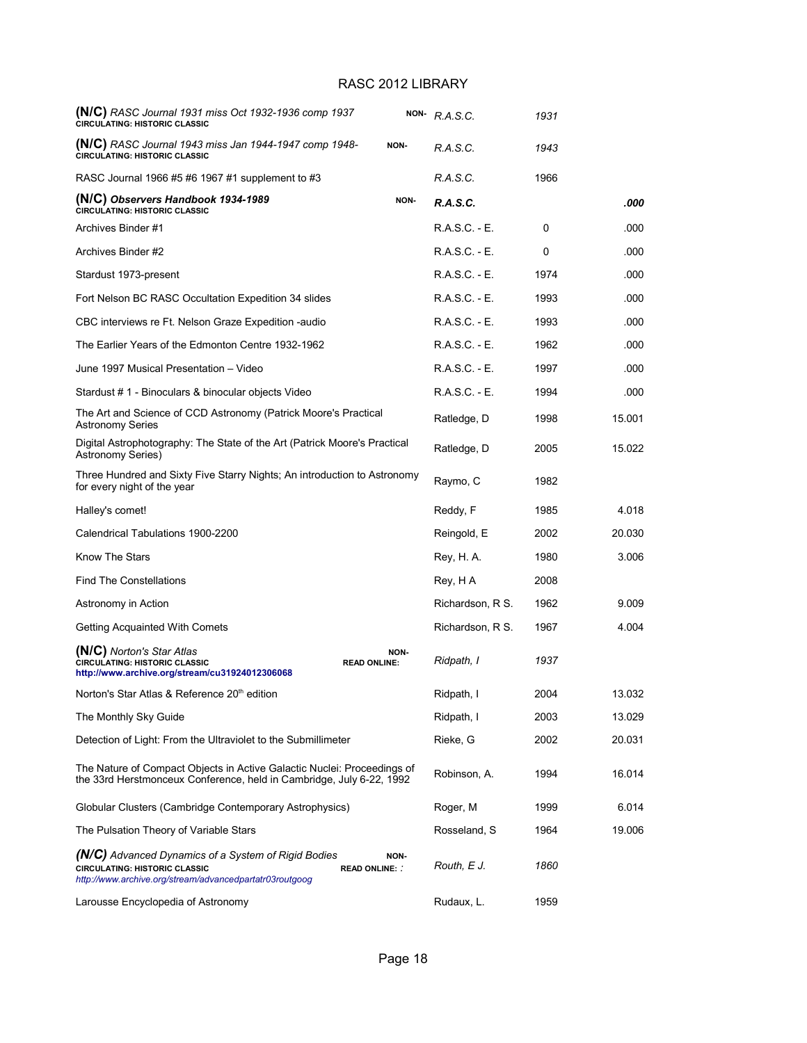| (N/C) RASC Journal 1931 miss Oct 1932-1936 comp 1937<br><b>CIRCULATING: HISTORIC CLASSIC</b>                                                                                  |      | NON-R.A.S.C.     | 1931 |        |
|-------------------------------------------------------------------------------------------------------------------------------------------------------------------------------|------|------------------|------|--------|
| (N/C) RASC Journal 1943 miss Jan 1944-1947 comp 1948-<br>CIRCULATING: HISTORIC CLASSIC                                                                                        | NON- | R.A.S.C.         | 1943 |        |
| RASC Journal 1966 #5 #6 1967 #1 supplement to #3                                                                                                                              |      | R.A.S.C.         | 1966 |        |
| (N/C) Observers Handbook 1934-1989<br>CIRCULATING: HISTORIC CLASSIC                                                                                                           | NON- | R.A.S.C.         |      | .000   |
| Archives Binder #1                                                                                                                                                            |      | R.A.S.C. - E.    | 0    | .000   |
| Archives Binder #2                                                                                                                                                            |      | R.A.S.C. - E.    | 0    | .000   |
| Stardust 1973-present                                                                                                                                                         |      | R.A.S.C. - E.    | 1974 | .000   |
| Fort Nelson BC RASC Occultation Expedition 34 slides                                                                                                                          |      | R.A.S.C. - E.    | 1993 | .000   |
| CBC interviews re Ft. Nelson Graze Expedition -audio                                                                                                                          |      | R.A.S.C. - E.    | 1993 | .000   |
| The Earlier Years of the Edmonton Centre 1932-1962                                                                                                                            |      | R.A.S.C. - E.    | 1962 | .000   |
| June 1997 Musical Presentation - Video                                                                                                                                        |      | R.A.S.C. - E.    | 1997 | .000   |
| Stardust # 1 - Binoculars & binocular objects Video                                                                                                                           |      | R.A.S.C. - E.    | 1994 | .000   |
| The Art and Science of CCD Astronomy (Patrick Moore's Practical<br><b>Astronomy Series</b>                                                                                    |      | Ratledge, D      | 1998 | 15.001 |
| Digital Astrophotography: The State of the Art (Patrick Moore's Practical<br><b>Astronomy Series)</b>                                                                         |      | Ratledge, D      | 2005 | 15.022 |
| Three Hundred and Sixty Five Starry Nights; An introduction to Astronomy<br>for every night of the year                                                                       |      | Raymo, C         | 1982 |        |
| Halley's comet!                                                                                                                                                               |      | Reddy, F         | 1985 | 4.018  |
| Calendrical Tabulations 1900-2200                                                                                                                                             |      | Reingold, E      | 2002 | 20.030 |
| Know The Stars                                                                                                                                                                |      | Rey, H. A.       | 1980 | 3.006  |
| <b>Find The Constellations</b>                                                                                                                                                |      | Rey, H A         | 2008 |        |
| Astronomy in Action                                                                                                                                                           |      | Richardson, R S. | 1962 | 9.009  |
| Getting Acquainted With Comets                                                                                                                                                |      | Richardson, R S. | 1967 | 4.004  |
| (N/C) Norton's Star Atlas<br>CIRCULATING: HISTORIC CLASSIC<br><b>READ ONLINE:</b><br>http://www.archive.org/stream/cu31924012306068                                           | NON- | Ridpath, I       | 1937 |        |
| Norton's Star Atlas & Reference 20 <sup>th</sup> edition                                                                                                                      |      | Ridpath, I       | 2004 | 13.032 |
| The Monthly Sky Guide                                                                                                                                                         |      | Ridpath, I       | 2003 | 13.029 |
| Detection of Light: From the Ultraviolet to the Submillimeter                                                                                                                 |      | Rieke, G         | 2002 | 20.031 |
| The Nature of Compact Objects in Active Galactic Nuclei: Proceedings of<br>the 33rd Herstmonceux Conference, held in Cambridge, July 6-22, 1992                               |      | Robinson, A.     | 1994 | 16.014 |
| Globular Clusters (Cambridge Contemporary Astrophysics)                                                                                                                       |      | Roger, M         | 1999 | 6.014  |
| The Pulsation Theory of Variable Stars                                                                                                                                        |      | Rosseland, S     | 1964 | 19.006 |
| <b>(N/C)</b> Advanced Dynamics of a System of Rigid Bodies<br>CIRCULATING: HISTORIC CLASSIC<br><b>READ ONLINE:</b><br>http://www.archive.org/stream/advancedpartatr03routgoog | NON- | Routh, E J.      | 1860 |        |
| Larousse Encyclopedia of Astronomy                                                                                                                                            |      | Rudaux, L.       | 1959 |        |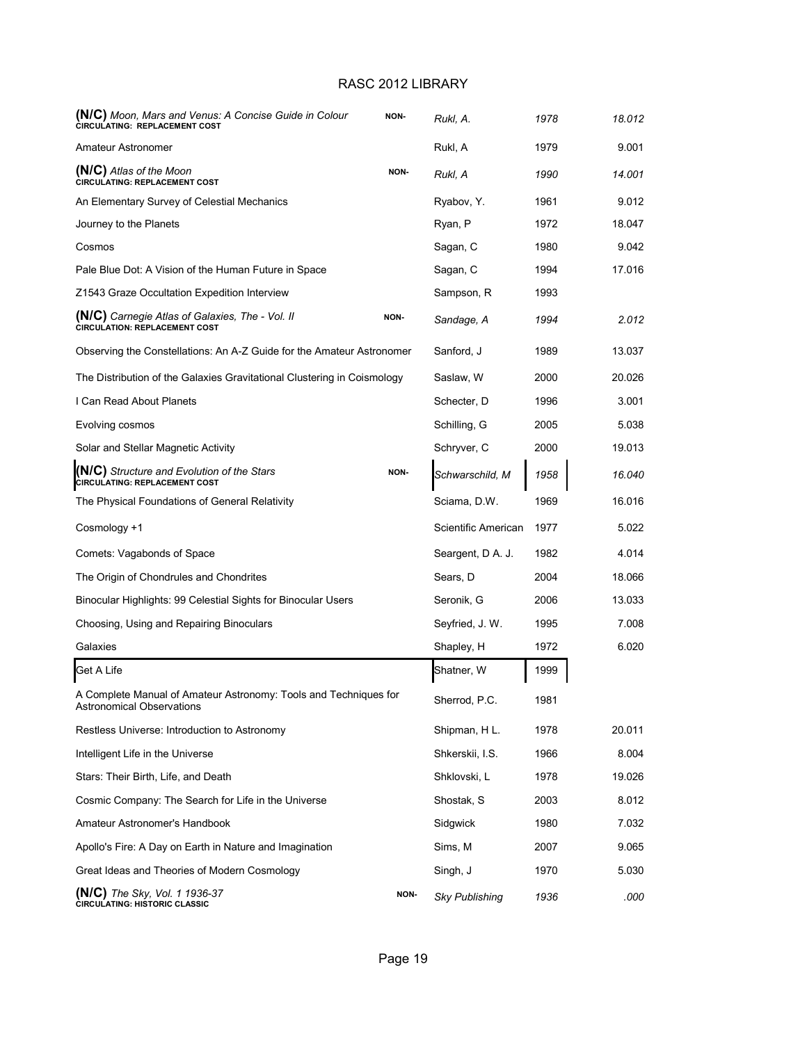| (N/C) Moon, Mars and Venus: A Concise Guide in Colour<br>CIRCULATING: REPLACEMENT COST               | NON- | Rukl, A.              | 1978 | 18.012 |
|------------------------------------------------------------------------------------------------------|------|-----------------------|------|--------|
| Amateur Astronomer                                                                                   |      | Rukl, A               | 1979 | 9.001  |
| (N/C) Atlas of the Moon<br><b>CIRCULATING: REPLACEMENT COST</b>                                      | NON- | Rukl, A               | 1990 | 14.001 |
| An Elementary Survey of Celestial Mechanics                                                          |      | Ryabov, Y.            | 1961 | 9.012  |
| Journey to the Planets                                                                               |      | Ryan, P               | 1972 | 18.047 |
| Cosmos                                                                                               |      | Sagan, C              | 1980 | 9.042  |
| Pale Blue Dot: A Vision of the Human Future in Space                                                 |      | Sagan, C              | 1994 | 17.016 |
| Z1543 Graze Occultation Expedition Interview                                                         |      | Sampson, R            | 1993 |        |
| <b>(N/C)</b> Carnegie Atlas of Galaxies, The - Vol. II<br><b>CIRCULATION: REPLACEMENT COST</b>       | NON- | Sandage, A            | 1994 | 2.012  |
| Observing the Constellations: An A-Z Guide for the Amateur Astronomer                                |      | Sanford, J            | 1989 | 13.037 |
| The Distribution of the Galaxies Gravitational Clustering in Coismology                              |      | Saslaw, W             | 2000 | 20.026 |
| I Can Read About Planets                                                                             |      | Schecter, D           | 1996 | 3.001  |
| Evolving cosmos                                                                                      |      | Schilling, G          | 2005 | 5.038  |
| Solar and Stellar Magnetic Activity                                                                  |      | Schryver, C           | 2000 | 19.013 |
| <b>(N/C)</b> Structure and Evolution of the Stars<br><b>CIRCULATING: REPLACEMENT COST</b>            | NON- | Schwarschild, M       | 1958 | 16.040 |
| The Physical Foundations of General Relativity                                                       |      | Sciama, D.W.          | 1969 | 16.016 |
| Cosmology +1                                                                                         |      | Scientific American   | 1977 | 5.022  |
| Comets: Vagabonds of Space                                                                           |      | Seargent, D A. J.     | 1982 | 4.014  |
| The Origin of Chondrules and Chondrites                                                              |      | Sears, D              | 2004 | 18.066 |
| Binocular Highlights: 99 Celestial Sights for Binocular Users                                        |      | Seronik, G            | 2006 | 13.033 |
| Choosing, Using and Repairing Binoculars                                                             |      | Seyfried, J. W.       | 1995 | 7.008  |
| Galaxies                                                                                             |      | Shapley, H            | 1972 | 6.020  |
| Get A Life                                                                                           |      | Shatner, W            | 1999 |        |
| A Complete Manual of Amateur Astronomy: Tools and Techniques for<br><b>Astronomical Observations</b> |      | Sherrod, P.C.         | 1981 |        |
| Restless Universe: Introduction to Astronomy                                                         |      | Shipman, H L.         | 1978 | 20.011 |
| Intelligent Life in the Universe                                                                     |      | Shkerskii, I.S.       | 1966 | 8.004  |
| Stars: Their Birth, Life, and Death                                                                  |      | Shklovski, L          | 1978 | 19.026 |
| Cosmic Company: The Search for Life in the Universe                                                  |      | Shostak, S            | 2003 | 8.012  |
| Amateur Astronomer's Handbook                                                                        |      | Sidgwick              | 1980 | 7.032  |
| Apollo's Fire: A Day on Earth in Nature and Imagination                                              |      | Sims, M               | 2007 | 9.065  |
| Great Ideas and Theories of Modern Cosmology                                                         |      | Singh, J              | 1970 | 5.030  |
| (N/C) The Sky, Vol. 1 1936-37<br><b>CIRCULATING: HISTORIC CLASSIC</b>                                | NON- | <b>Sky Publishing</b> | 1936 | .000   |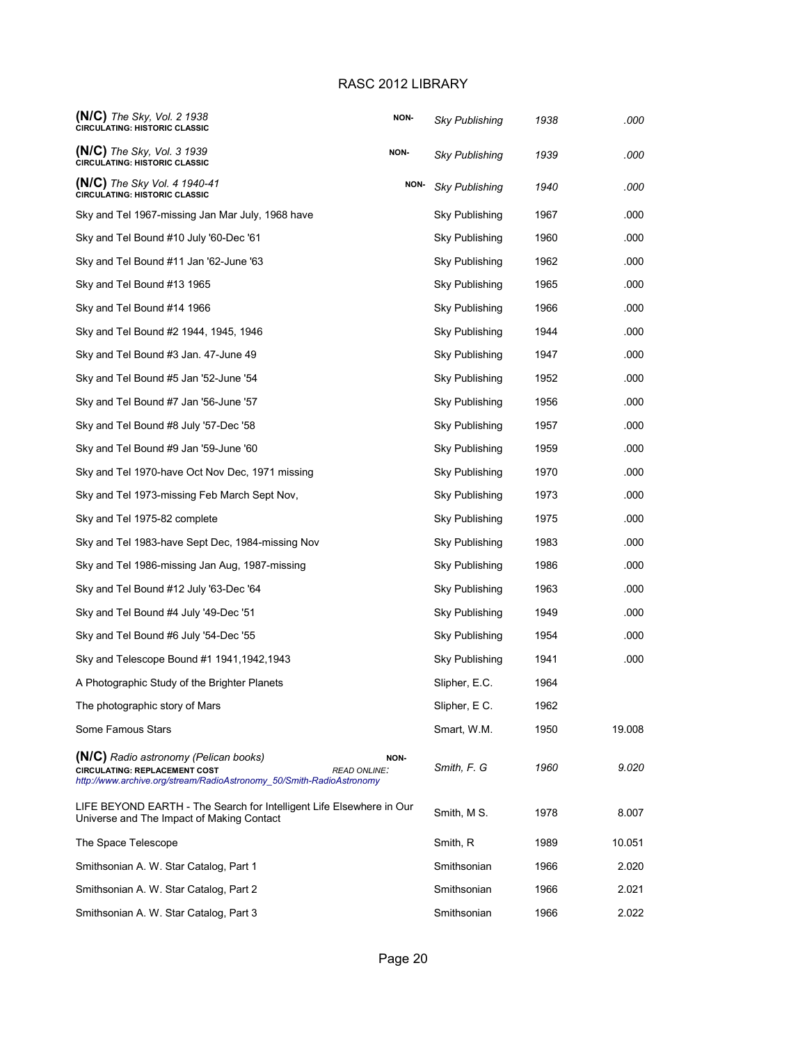| $(N/C)$ The Sky, Vol. 2 1938<br><b>CIRCULATING: HISTORIC CLASSIC</b>                                                                                                         | NON- | Sky Publishing        | 1938 | .000   |
|------------------------------------------------------------------------------------------------------------------------------------------------------------------------------|------|-----------------------|------|--------|
| $(N/C)$ The Sky, Vol. 3 1939<br><b>CIRCULATING: HISTORIC CLASSIC</b>                                                                                                         | NON- | <b>Sky Publishing</b> | 1939 | .000   |
| $(N/C)$ The Sky Vol. 4 1940-41<br><b>CIRCULATING: HISTORIC CLASSIC</b>                                                                                                       | NON- | Sky Publishing        | 1940 | .000   |
| Sky and Tel 1967-missing Jan Mar July, 1968 have                                                                                                                             |      | Sky Publishing        | 1967 | .000   |
| Sky and Tel Bound #10 July '60-Dec '61                                                                                                                                       |      | Sky Publishing        | 1960 | .000   |
| Sky and Tel Bound #11 Jan '62-June '63                                                                                                                                       |      | Sky Publishing        | 1962 | .000   |
| Sky and Tel Bound #13 1965                                                                                                                                                   |      | Sky Publishing        | 1965 | .000   |
| Sky and Tel Bound #14 1966                                                                                                                                                   |      | Sky Publishing        | 1966 | .000   |
| Sky and Tel Bound #2 1944, 1945, 1946                                                                                                                                        |      | Sky Publishing        | 1944 | .000   |
| Sky and Tel Bound #3 Jan. 47-June 49                                                                                                                                         |      | Sky Publishing        | 1947 | .000   |
| Sky and Tel Bound #5 Jan '52-June '54                                                                                                                                        |      | Sky Publishing        | 1952 | .000   |
| Sky and Tel Bound #7 Jan '56-June '57                                                                                                                                        |      | Sky Publishing        | 1956 | .000   |
| Sky and Tel Bound #8 July '57-Dec '58                                                                                                                                        |      | Sky Publishing        | 1957 | .000   |
| Sky and Tel Bound #9 Jan '59-June '60                                                                                                                                        |      | Sky Publishing        | 1959 | .000   |
| Sky and Tel 1970-have Oct Nov Dec, 1971 missing                                                                                                                              |      | Sky Publishing        | 1970 | .000   |
| Sky and Tel 1973-missing Feb March Sept Nov,                                                                                                                                 |      | Sky Publishing        | 1973 | .000   |
| Sky and Tel 1975-82 complete                                                                                                                                                 |      | Sky Publishing        | 1975 | .000   |
| Sky and Tel 1983-have Sept Dec, 1984-missing Nov                                                                                                                             |      | Sky Publishing        | 1983 | .000   |
| Sky and Tel 1986-missing Jan Aug, 1987-missing                                                                                                                               |      | Sky Publishing        | 1986 | .000   |
| Sky and Tel Bound #12 July '63-Dec '64                                                                                                                                       |      | Sky Publishing        | 1963 | .000   |
| Sky and Tel Bound #4 July '49-Dec '51                                                                                                                                        |      | Sky Publishing        | 1949 | .000   |
| Sky and Tel Bound #6 July '54-Dec '55                                                                                                                                        |      | Sky Publishing        | 1954 | .000   |
| Sky and Telescope Bound #1 1941, 1942, 1943                                                                                                                                  |      | Sky Publishing        | 1941 | .000   |
| A Photographic Study of the Brighter Planets                                                                                                                                 |      | Slipher, E.C.         | 1964 |        |
| The photographic story of Mars                                                                                                                                               |      | Slipher, E C.         | 1962 |        |
| Some Famous Stars                                                                                                                                                            |      | Smart, W.M.           | 1950 | 19.008 |
| (N/C) Radio astronomy (Pelican books)<br><b>CIRCULATING: REPLACEMENT COST</b><br><b>READ ONLINE:</b><br>http://www.archive.org/stream/RadioAstronomy_50/Smith-RadioAstronomy | NON- | Smith, F. G           | 1960 | 9.020  |
| LIFE BEYOND EARTH - The Search for Intelligent Life Elsewhere in Our<br>Universe and The Impact of Making Contact                                                            |      | Smith, M S.           | 1978 | 8.007  |
| The Space Telescope                                                                                                                                                          |      | Smith, R              | 1989 | 10.051 |
| Smithsonian A. W. Star Catalog, Part 1                                                                                                                                       |      | Smithsonian           | 1966 | 2.020  |
| Smithsonian A. W. Star Catalog, Part 2                                                                                                                                       |      | Smithsonian           | 1966 | 2.021  |
| Smithsonian A. W. Star Catalog, Part 3                                                                                                                                       |      | Smithsonian           | 1966 | 2.022  |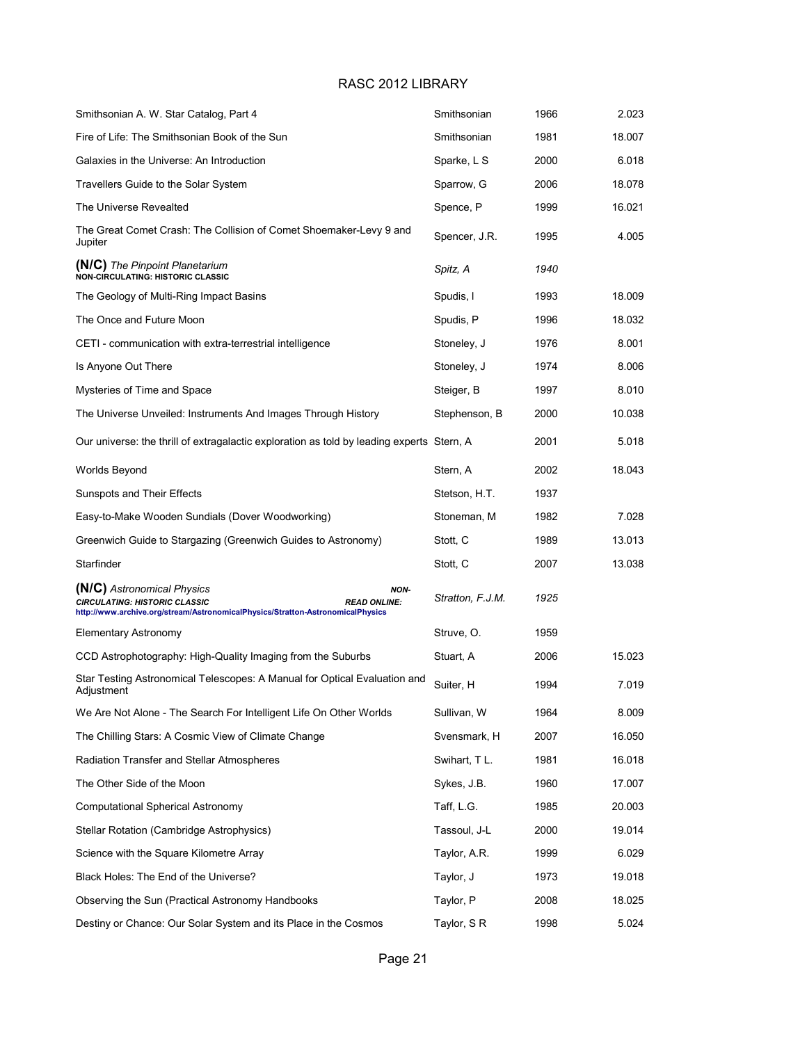| Smithsonian A. W. Star Catalog, Part 4                                                                                                                                              | Smithsonian      | 1966 | 2.023  |
|-------------------------------------------------------------------------------------------------------------------------------------------------------------------------------------|------------------|------|--------|
| Fire of Life: The Smithsonian Book of the Sun                                                                                                                                       | Smithsonian      | 1981 | 18.007 |
| Galaxies in the Universe: An Introduction                                                                                                                                           | Sparke, L S      | 2000 | 6.018  |
| Travellers Guide to the Solar System                                                                                                                                                | Sparrow, G       | 2006 | 18.078 |
| The Universe Revealted                                                                                                                                                              | Spence, P        | 1999 | 16.021 |
| The Great Comet Crash: The Collision of Comet Shoemaker-Levy 9 and<br>Jupiter                                                                                                       | Spencer, J.R.    | 1995 | 4.005  |
| <b>(N/C)</b> The Pinpoint Planetarium<br>NON-CIRCULATING: HISTORIC CLASSIC                                                                                                          | Spitz, A         | 1940 |        |
| The Geology of Multi-Ring Impact Basins                                                                                                                                             | Spudis, I        | 1993 | 18.009 |
| The Once and Future Moon                                                                                                                                                            | Spudis, P        | 1996 | 18.032 |
| CETI - communication with extra-terrestrial intelligence                                                                                                                            | Stoneley, J      | 1976 | 8.001  |
| Is Anyone Out There                                                                                                                                                                 | Stoneley, J      | 1974 | 8.006  |
| Mysteries of Time and Space                                                                                                                                                         | Steiger, B       | 1997 | 8.010  |
| The Universe Unveiled: Instruments And Images Through History                                                                                                                       | Stephenson, B    | 2000 | 10.038 |
| Our universe: the thrill of extragalactic exploration as told by leading experts Stern, A                                                                                           |                  | 2001 | 5.018  |
| Worlds Beyond                                                                                                                                                                       | Stern, A         | 2002 | 18.043 |
| Sunspots and Their Effects                                                                                                                                                          | Stetson, H.T.    | 1937 |        |
| Easy-to-Make Wooden Sundials (Dover Woodworking)                                                                                                                                    | Stoneman, M      | 1982 | 7.028  |
| Greenwich Guide to Stargazing (Greenwich Guides to Astronomy)                                                                                                                       | Stott, C         | 1989 | 13.013 |
| Starfinder                                                                                                                                                                          | Stott, C         | 2007 | 13.038 |
| (N/C) Astronomical Physics<br>NON-<br><b>CIRCULATING: HISTORIC CLASSIC</b><br><b>READ ONLINE:</b><br>http://www.archive.org/stream/AstronomicalPhysics/Stratton-AstronomicalPhysics | Stratton, F.J.M. | 1925 |        |
| <b>Elementary Astronomy</b>                                                                                                                                                         | Struve, O.       | 1959 |        |
| CCD Astrophotography: High-Quality Imaging from the Suburbs                                                                                                                         | Stuart, A        | 2006 | 15.023 |
| Star Testing Astronomical Telescopes: A Manual for Optical Evaluation and<br>Adjustment                                                                                             | Suiter, H        | 1994 | 7.019  |
| We Are Not Alone - The Search For Intelligent Life On Other Worlds                                                                                                                  | Sullivan, W      | 1964 | 8.009  |
| The Chilling Stars: A Cosmic View of Climate Change                                                                                                                                 | Svensmark, H     | 2007 | 16.050 |
| Radiation Transfer and Stellar Atmospheres                                                                                                                                          | Swihart, TL.     | 1981 | 16.018 |
| The Other Side of the Moon                                                                                                                                                          | Sykes, J.B.      | 1960 | 17.007 |
| <b>Computational Spherical Astronomy</b>                                                                                                                                            | Taff, L.G.       | 1985 | 20.003 |
| Stellar Rotation (Cambridge Astrophysics)                                                                                                                                           | Tassoul, J-L     | 2000 | 19.014 |
| Science with the Square Kilometre Array                                                                                                                                             | Taylor, A.R.     | 1999 | 6.029  |
| Black Holes: The End of the Universe?                                                                                                                                               | Taylor, J        | 1973 | 19.018 |
| Observing the Sun (Practical Astronomy Handbooks                                                                                                                                    | Taylor, P        | 2008 | 18.025 |
| Destiny or Chance: Our Solar System and its Place in the Cosmos                                                                                                                     | Taylor, SR       | 1998 | 5.024  |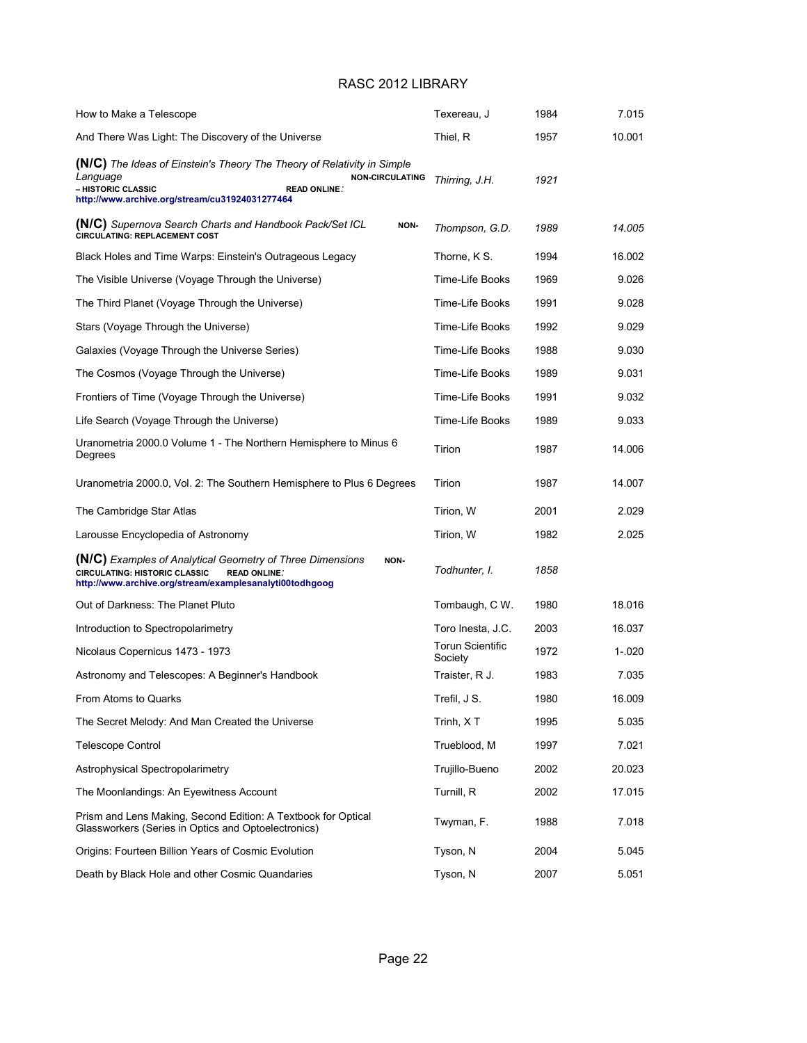| How to Make a Telescope                                                                                                                                                                                      | Texereau, J                        | 1984 | 7.015  |
|--------------------------------------------------------------------------------------------------------------------------------------------------------------------------------------------------------------|------------------------------------|------|--------|
| And There Was Light: The Discovery of the Universe                                                                                                                                                           | Thiel, R                           | 1957 | 10.001 |
| (N/C) The Ideas of Einstein's Theory The Theory of Relativity in Simple<br>Language<br><b>NON-CIRCULATING</b><br>- HISTORIC CLASSIC<br><b>READ ONLINE:</b><br>http://www.archive.org/stream/cu31924031277464 | Thirring, J.H.                     | 1921 |        |
| (N/C) Supernova Search Charts and Handbook Pack/Set ICL<br>NON-<br><b>CIRCULATING: REPLACEMENT COST</b>                                                                                                      | Thompson, G.D.                     | 1989 | 14.005 |
| Black Holes and Time Warps: Einstein's Outrageous Legacy                                                                                                                                                     | Thorne, K S.                       | 1994 | 16.002 |
| The Visible Universe (Voyage Through the Universe)                                                                                                                                                           | Time-Life Books                    | 1969 | 9.026  |
| The Third Planet (Voyage Through the Universe)                                                                                                                                                               | Time-Life Books                    | 1991 | 9.028  |
| Stars (Voyage Through the Universe)                                                                                                                                                                          | Time-Life Books                    | 1992 | 9.029  |
| Galaxies (Voyage Through the Universe Series)                                                                                                                                                                | Time-Life Books                    | 1988 | 9.030  |
| The Cosmos (Voyage Through the Universe)                                                                                                                                                                     | Time-Life Books                    | 1989 | 9.031  |
| Frontiers of Time (Voyage Through the Universe)                                                                                                                                                              | Time-Life Books                    | 1991 | 9.032  |
| Life Search (Voyage Through the Universe)                                                                                                                                                                    | Time-Life Books                    | 1989 | 9.033  |
| Uranometria 2000.0 Volume 1 - The Northern Hemisphere to Minus 6<br>Degrees                                                                                                                                  | Tirion                             | 1987 | 14.006 |
| Uranometria 2000.0, Vol. 2: The Southern Hemisphere to Plus 6 Degrees                                                                                                                                        | Tirion                             | 1987 | 14.007 |
| The Cambridge Star Atlas                                                                                                                                                                                     | Tirion, W                          | 2001 | 2.029  |
| Larousse Encyclopedia of Astronomy                                                                                                                                                                           | Tirion, W                          | 1982 | 2.025  |
| (N/C) Examples of Analytical Geometry of Three Dimensions<br>NON-<br><b>CIRCULATING: HISTORIC CLASSIC</b><br><b>READ ONLINE:</b><br>http://www.archive.org/stream/examplesanalyti00todhgoog                  | Todhunter, I.                      | 1858 |        |
| Out of Darkness: The Planet Pluto                                                                                                                                                                            | Tombaugh, C W.                     | 1980 | 18.016 |
| Introduction to Spectropolarimetry                                                                                                                                                                           | Toro Inesta, J.C.                  | 2003 | 16.037 |
| Nicolaus Copernicus 1473 - 1973                                                                                                                                                                              | <b>Torun Scientific</b><br>Society | 1972 | 1-.020 |
| Astronomy and Telescopes: A Beginner's Handbook                                                                                                                                                              | Traister, R J.                     | 1983 | 7.035  |
| From Atoms to Quarks                                                                                                                                                                                         | Trefil, J S.                       | 1980 | 16.009 |
| The Secret Melody: And Man Created the Universe                                                                                                                                                              | Trinh, XT                          | 1995 | 5.035  |
| Telescope Control                                                                                                                                                                                            | Trueblood, M                       | 1997 | 7.021  |
| Astrophysical Spectropolarimetry                                                                                                                                                                             | Trujillo-Bueno                     | 2002 | 20.023 |
| The Moonlandings: An Eyewitness Account                                                                                                                                                                      | Turnill, R                         | 2002 | 17.015 |
| Prism and Lens Making, Second Edition: A Textbook for Optical<br>Glassworkers (Series in Optics and Optoelectronics)                                                                                         | Twyman, F.                         | 1988 | 7.018  |
| Origins: Fourteen Billion Years of Cosmic Evolution                                                                                                                                                          | Tyson, N                           | 2004 | 5.045  |
| Death by Black Hole and other Cosmic Quandaries                                                                                                                                                              | Tyson, N                           | 2007 | 5.051  |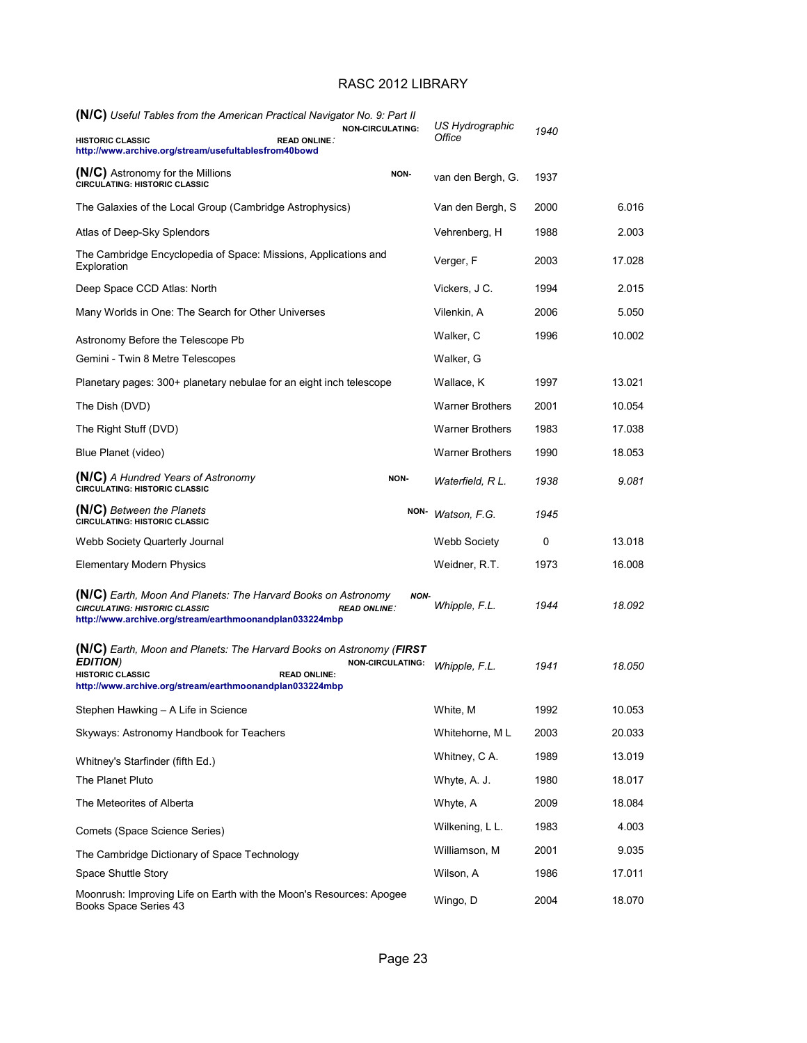| (N/C) Useful Tables from the American Practical Navigator No. 9: Part II                                                                                                              |                                                |                       | US Hydrographic        |      |        |
|---------------------------------------------------------------------------------------------------------------------------------------------------------------------------------------|------------------------------------------------|-----------------------|------------------------|------|--------|
| <b>HISTORIC CLASSIC</b><br>http://www.archive.org/stream/usefultablesfrom40bowd                                                                                                       | <b>NON-CIRCULATING:</b><br><b>READ ONLINE:</b> | Office                |                        | 1940 |        |
| (N/C) Astronomy for the Millions<br><b>CIRCULATING: HISTORIC CLASSIC</b>                                                                                                              | NON-                                           |                       | van den Bergh, G.      | 1937 |        |
| The Galaxies of the Local Group (Cambridge Astrophysics)                                                                                                                              |                                                |                       | Van den Bergh, S       | 2000 | 6.016  |
| Atlas of Deep-Sky Splendors                                                                                                                                                           |                                                |                       | Vehrenberg, H          | 1988 | 2.003  |
| The Cambridge Encyclopedia of Space: Missions, Applications and<br>Exploration                                                                                                        |                                                | Verger, F             |                        | 2003 | 17.028 |
| Deep Space CCD Atlas: North                                                                                                                                                           |                                                | Vickers, J C.         |                        | 1994 | 2.015  |
| Many Worlds in One: The Search for Other Universes                                                                                                                                    |                                                | Vilenkin, A           |                        | 2006 | 5.050  |
| Astronomy Before the Telescope Pb                                                                                                                                                     |                                                | Walker, C             |                        | 1996 | 10.002 |
| Gemini - Twin 8 Metre Telescopes                                                                                                                                                      |                                                | Walker, G             |                        |      |        |
| Planetary pages: 300+ planetary nebulae for an eight inch telescope                                                                                                                   |                                                | Wallace, K            |                        | 1997 | 13.021 |
| The Dish (DVD)                                                                                                                                                                        |                                                |                       | <b>Warner Brothers</b> | 2001 | 10.054 |
| The Right Stuff (DVD)                                                                                                                                                                 |                                                |                       | <b>Warner Brothers</b> | 1983 | 17.038 |
| Blue Planet (video)                                                                                                                                                                   |                                                |                       | <b>Warner Brothers</b> | 1990 | 18.053 |
| <b>(N/C)</b> A Hundred Years of Astronomy<br><b>CIRCULATING: HISTORIC CLASSIC</b>                                                                                                     | NON-                                           |                       | Waterfield, R L.       | 1938 | 9.081  |
| (N/C) Between the Planets<br><b>CIRCULATING: HISTORIC CLASSIC</b>                                                                                                                     |                                                | NON-<br>Watson, F.G.  |                        | 1945 |        |
| Webb Society Quarterly Journal                                                                                                                                                        |                                                |                       | Webb Society           | 0    | 13.018 |
| <b>Elementary Modern Physics</b>                                                                                                                                                      |                                                |                       | Weidner, R.T.          | 1973 | 16.008 |
| <b>(N/C)</b> Earth, Moon And Planets: The Harvard Books on Astronomy<br><b>CIRCULATING: HISTORIC CLASSIC</b><br>http://www.archive.org/stream/earthmoonandplan033224mbp               | <b>READ ONLINE:</b>                            | NON-<br>Whipple, F.L. |                        | 1944 | 18.092 |
| <b>(N/C)</b> Earth, Moon and Planets: The Harvard Books on Astronomy (FIRST<br><b>EDITION</b> )<br><b>HISTORIC CLASSIC</b><br>http://www.archive.org/stream/earthmoonandplan033224mbp | <b>NON-CIRCULATING:</b><br><b>READ ONLINE:</b> | Whipple, F.L.         |                        | 1941 | 18.050 |
| Stephen Hawking - A Life in Science                                                                                                                                                   |                                                | White, M              |                        | 1992 | 10.053 |
| Skyways: Astronomy Handbook for Teachers                                                                                                                                              |                                                |                       | Whitehorne, ML         | 2003 | 20.033 |
| Whitney's Starfinder (fifth Ed.)                                                                                                                                                      |                                                |                       | Whitney, C A.          | 1989 | 13.019 |
| The Planet Pluto                                                                                                                                                                      |                                                | Whyte, A. J.          |                        | 1980 | 18.017 |
| The Meteorites of Alberta                                                                                                                                                             |                                                | Whyte, A              |                        | 2009 | 18.084 |
| Comets (Space Science Series)                                                                                                                                                         |                                                |                       | Wilkening, L L.        | 1983 | 4.003  |
| The Cambridge Dictionary of Space Technology                                                                                                                                          |                                                |                       | Williamson, M          | 2001 | 9.035  |
| Space Shuttle Story                                                                                                                                                                   |                                                | Wilson, A             |                        | 1986 | 17.011 |
| Moonrush: Improving Life on Earth with the Moon's Resources: Apogee<br>Books Space Series 43                                                                                          |                                                | Wingo, D              |                        | 2004 | 18.070 |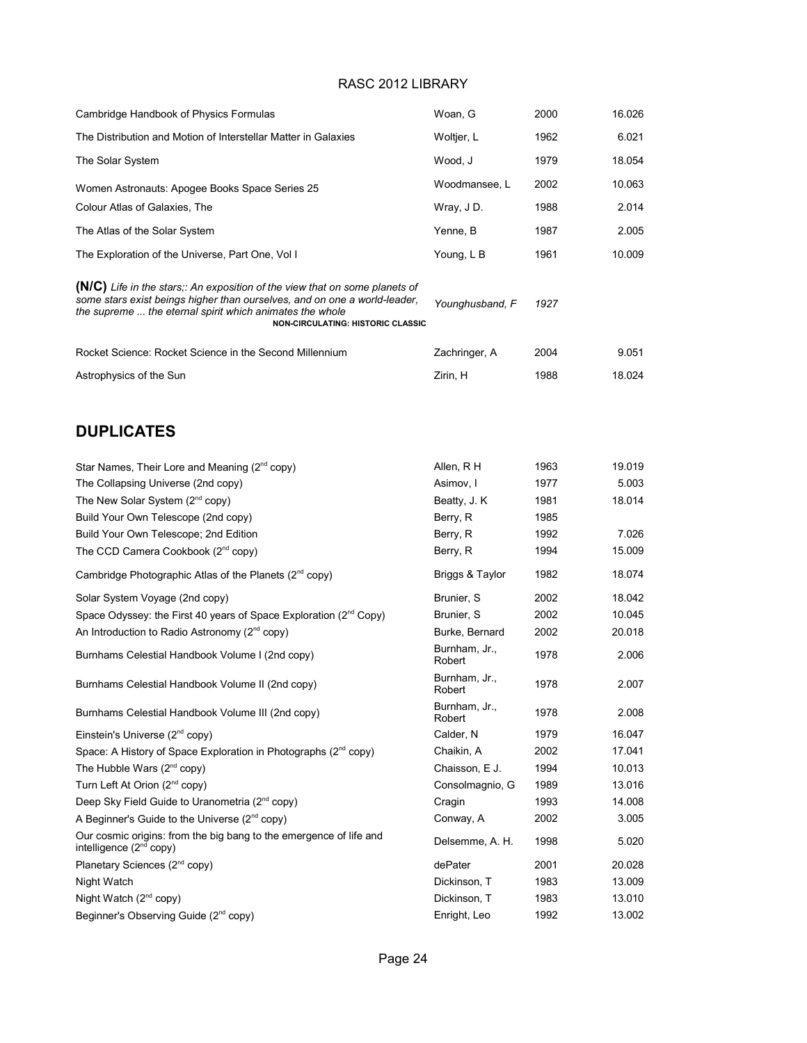| Cambridge Handbook of Physics Formulas                                                                                                                                                                                                                           | Woan, G                 | 2000 | 16.026 |
|------------------------------------------------------------------------------------------------------------------------------------------------------------------------------------------------------------------------------------------------------------------|-------------------------|------|--------|
| The Distribution and Motion of Interstellar Matter in Galaxies                                                                                                                                                                                                   | Woltjer, L              | 1962 | 6.021  |
| The Solar System                                                                                                                                                                                                                                                 | Wood, J                 | 1979 | 18.054 |
| Women Astronauts: Apogee Books Space Series 25                                                                                                                                                                                                                   | Woodmansee, L           | 2002 | 10.063 |
| Colour Atlas of Galaxies, The                                                                                                                                                                                                                                    | Wray, JD.               | 1988 | 2.014  |
| The Atlas of the Solar System                                                                                                                                                                                                                                    | Yenne, B                | 1987 | 2.005  |
| The Exploration of the Universe, Part One, Vol I                                                                                                                                                                                                                 | Young, L B              | 1961 | 10.009 |
| (N/C) Life in the stars;: An exposition of the view that on some planets of<br>some stars exist beings higher than ourselves, and on one a world-leader,<br>the supreme  the eternal spirit which animates the whole<br><b>NON-CIRCULATING: HISTORIC CLASSIC</b> | Younghusband, F         | 1927 |        |
| Rocket Science: Rocket Science in the Second Millennium                                                                                                                                                                                                          | Zachringer, A           | 2004 | 9.051  |
| Astrophysics of the Sun                                                                                                                                                                                                                                          | Zirin, H                | 1988 | 18.024 |
| <b>DUPLICATES</b>                                                                                                                                                                                                                                                |                         |      |        |
| Star Names, Their Lore and Meaning (2 <sup>nd</sup> copy)                                                                                                                                                                                                        | Allen, R H              | 1963 | 19.019 |
| The Collapsing Universe (2nd copy)                                                                                                                                                                                                                               | Asimov, I               | 1977 | 5.003  |
| The New Solar System (2 <sup>nd</sup> copy)                                                                                                                                                                                                                      | Beatty, J. K.           | 1981 | 18.014 |
| Build Your Own Telescope (2nd copy)                                                                                                                                                                                                                              | Berry, R                | 1985 |        |
| Build Your Own Telescope; 2nd Edition                                                                                                                                                                                                                            | Berry, R                | 1992 | 7.026  |
| The CCD Camera Cookbook (2 <sup>nd</sup> copy)                                                                                                                                                                                                                   | Berry, R                | 1994 | 15.009 |
| Cambridge Photographic Atlas of the Planets (2 <sup>nd</sup> copy)                                                                                                                                                                                               | Briggs & Taylor         | 1982 | 18.074 |
| Solar System Voyage (2nd copy)                                                                                                                                                                                                                                   | Brunier, S              | 2002 | 18.042 |
| Space Odyssey: the First 40 years of Space Exploration (2 <sup>nd</sup> Copy)                                                                                                                                                                                    | Brunier, S              | 2002 | 10.045 |
| An Introduction to Radio Astronomy (2 <sup>nd</sup> copy)                                                                                                                                                                                                        | Burke, Bernard          | 2002 | 20.018 |
| Burnhams Celestial Handbook Volume I (2nd copy)                                                                                                                                                                                                                  | Burnham, Jr.,<br>Robert | 1978 | 2.006  |
| Burnhams Celestial Handbook Volume II (2nd copy)                                                                                                                                                                                                                 | Burnham, Jr.,<br>Robert | 1978 | 2.007  |
| Burnhams Celestial Handbook Volume III (2nd copy)                                                                                                                                                                                                                | Burnham, Jr.,<br>Robert | 1978 | 2.008  |
| Einstein's Universe (2 <sup>nd</sup> copy)                                                                                                                                                                                                                       | Calder, N               | 1979 | 16.047 |
| Space: A History of Space Exploration in Photographs (2 <sup>nd</sup> copy)                                                                                                                                                                                      | Chaikin, A              | 2002 | 17.041 |
| The Hubble Wars (2 <sup>nd</sup> copy)                                                                                                                                                                                                                           | Chaisson, E J.          | 1994 | 10.013 |
| Turn Left At Orion (2 <sup>nd</sup> copy)                                                                                                                                                                                                                        | Consolmagnio, G         | 1989 | 13.016 |
| Deep Sky Field Guide to Uranometria (2 <sup>nd</sup> copy)                                                                                                                                                                                                       | Cragin                  | 1993 | 14.008 |
| A Beginner's Guide to the Universe (2 <sup>nd</sup> copy)                                                                                                                                                                                                        | Conway, A               | 2002 | 3.005  |
| Our cosmic origins: from the big bang to the emergence of life and<br>intelligence $(2^{nd}$ copy)                                                                                                                                                               | Delsemme, A. H.         | 1998 | 5.020  |
| Planetary Sciences (2 <sup>nd</sup> copy)                                                                                                                                                                                                                        | dePater                 | 2001 | 20.028 |
| Night Watch                                                                                                                                                                                                                                                      | Dickinson, T            | 1983 | 13.009 |
| Night Watch (2 <sup>nd</sup> copy)                                                                                                                                                                                                                               | Dickinson, T            | 1983 | 13.010 |
| Beginner's Observing Guide (2 <sup>nd</sup> copy)                                                                                                                                                                                                                | Enright, Leo            | 1992 | 13.002 |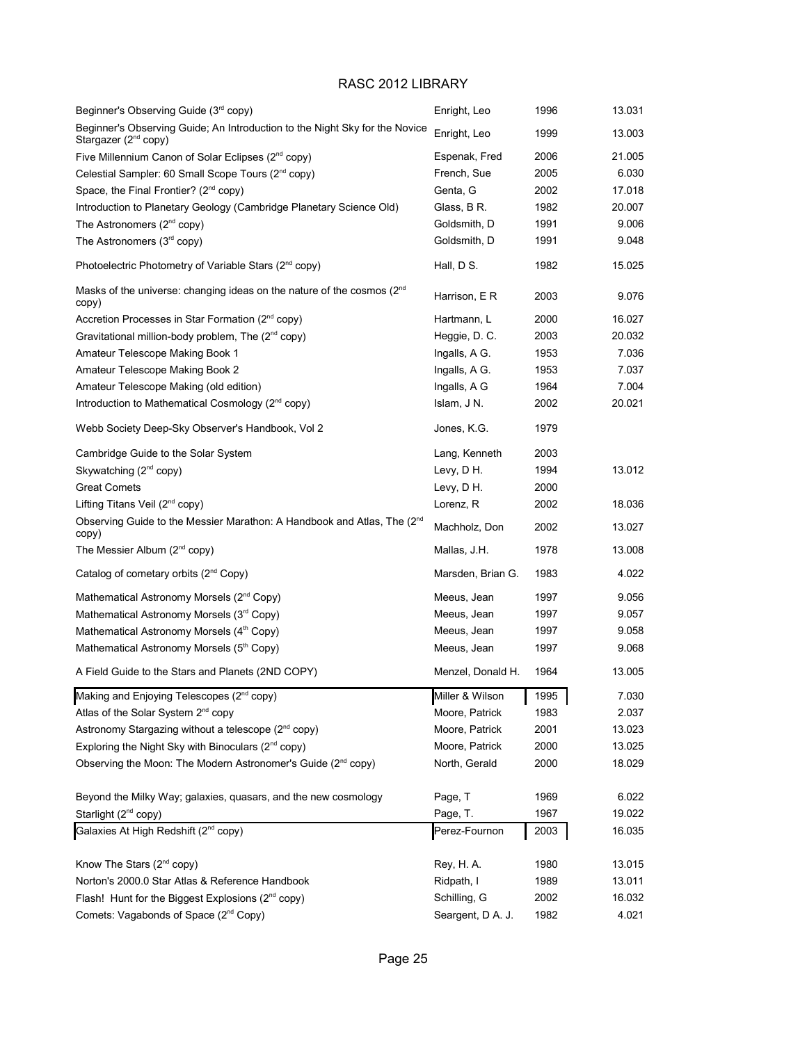| Beginner's Observing Guide (3rd copy)                                                                           | Enright, Leo      | 1996 | 13.031 |
|-----------------------------------------------------------------------------------------------------------------|-------------------|------|--------|
| Beginner's Observing Guide; An Introduction to the Night Sky for the Novice<br>Stargazer (2 <sup>nd</sup> copy) | Enright, Leo      | 1999 | 13.003 |
| Five Millennium Canon of Solar Eclipses (2 <sup>nd</sup> copy)                                                  | Espenak, Fred     | 2006 | 21.005 |
| Celestial Sampler: 60 Small Scope Tours (2 <sup>nd</sup> copy)                                                  | French, Sue       | 2005 | 6.030  |
| Space, the Final Frontier? (2 <sup>nd</sup> copy)                                                               | Genta, G          | 2002 | 17.018 |
| Introduction to Planetary Geology (Cambridge Planetary Science Old)                                             | Glass, B R.       | 1982 | 20.007 |
| The Astronomers (2 <sup>nd</sup> copy)                                                                          | Goldsmith, D      | 1991 | 9.006  |
| The Astronomers (3rd copy)                                                                                      | Goldsmith, D      | 1991 | 9.048  |
| Photoelectric Photometry of Variable Stars (2 <sup>nd</sup> copy)                                               | Hall, D S.        | 1982 | 15.025 |
| Masks of the universe: changing ideas on the nature of the cosmos (2 <sup>nd</sup> )<br>copy)                   | Harrison, E R     | 2003 | 9.076  |
| Accretion Processes in Star Formation (2 <sup>nd</sup> copy)                                                    | Hartmann, L       | 2000 | 16.027 |
| Gravitational million-body problem, The $(2^{nd}$ copy)                                                         | Heggie, D. C.     | 2003 | 20.032 |
| Amateur Telescope Making Book 1                                                                                 | Ingalls, A G.     | 1953 | 7.036  |
| Amateur Telescope Making Book 2                                                                                 | Ingalls, A G.     | 1953 | 7.037  |
| Amateur Telescope Making (old edition)                                                                          | Ingalls, A G      | 1964 | 7.004  |
| Introduction to Mathematical Cosmology (2 <sup>nd</sup> copy)                                                   | Islam, J N.       | 2002 | 20.021 |
| Webb Society Deep-Sky Observer's Handbook, Vol 2                                                                | Jones, K.G.       | 1979 |        |
| Cambridge Guide to the Solar System                                                                             | Lang, Kenneth     | 2003 |        |
| Skywatching (2 <sup>nd</sup> copy)                                                                              | Levy, D H.        | 1994 | 13.012 |
| <b>Great Comets</b>                                                                                             | Levy, D H.        | 2000 |        |
| Lifting Titans Veil (2 <sup>nd</sup> copy)                                                                      | Lorenz, R         | 2002 | 18.036 |
| Observing Guide to the Messier Marathon: A Handbook and Atlas, The (2 <sup>nd</sup> )<br>copy)                  | Machholz, Don     | 2002 | 13.027 |
| The Messier Album (2 <sup>nd</sup> copy)                                                                        | Mallas, J.H.      | 1978 | 13.008 |
| Catalog of cometary orbits (2 <sup>nd</sup> Copy)                                                               | Marsden, Brian G. | 1983 | 4.022  |
| Mathematical Astronomy Morsels (2 <sup>nd</sup> Copy)                                                           | Meeus, Jean       | 1997 | 9.056  |
| Mathematical Astronomy Morsels (3rd Copy)                                                                       | Meeus, Jean       | 1997 | 9.057  |
| Mathematical Astronomy Morsels (4 <sup>th</sup> Copy)                                                           | Meeus, Jean       | 1997 | 9.058  |
| Mathematical Astronomy Morsels (5th Copy)                                                                       | Meeus, Jean       | 1997 | 9.068  |
| A Field Guide to the Stars and Planets (2ND COPY)                                                               | Menzel, Donald H. | 1964 | 13.005 |
| Making and Enjoying Telescopes (2 <sup>nd</sup> copy)                                                           | Miller & Wilson   | 1995 | 7.030  |
| Atlas of the Solar System 2 <sup>nd</sup> copy                                                                  | Moore, Patrick    | 1983 | 2.037  |
| Astronomy Stargazing without a telescope (2 <sup>nd</sup> copy)                                                 | Moore, Patrick    | 2001 | 13.023 |
| Exploring the Night Sky with Binoculars (2 <sup>nd</sup> copy)                                                  | Moore, Patrick    | 2000 | 13.025 |
| Observing the Moon: The Modern Astronomer's Guide (2 <sup>nd</sup> copy)                                        | North, Gerald     | 2000 | 18.029 |
| Beyond the Milky Way; galaxies, quasars, and the new cosmology                                                  | Page, T           | 1969 | 6.022  |
| Starlight (2 <sup>nd</sup> copy)                                                                                | Page, T.          | 1967 | 19.022 |
| Galaxies At High Redshift (2 <sup>nd</sup> copy)                                                                | Perez-Fournon     | 2003 | 16.035 |
| Know The Stars (2 <sup>nd</sup> copy)                                                                           | Rey, H. A.        | 1980 | 13.015 |
| Norton's 2000.0 Star Atlas & Reference Handbook                                                                 | Ridpath, I        | 1989 | 13.011 |
| Flash! Hunt for the Biggest Explosions $(2^{nd}$ copy)                                                          | Schilling, G      | 2002 | 16.032 |
| Comets: Vagabonds of Space (2 <sup>nd</sup> Copy)                                                               | Seargent, D A. J. | 1982 | 4.021  |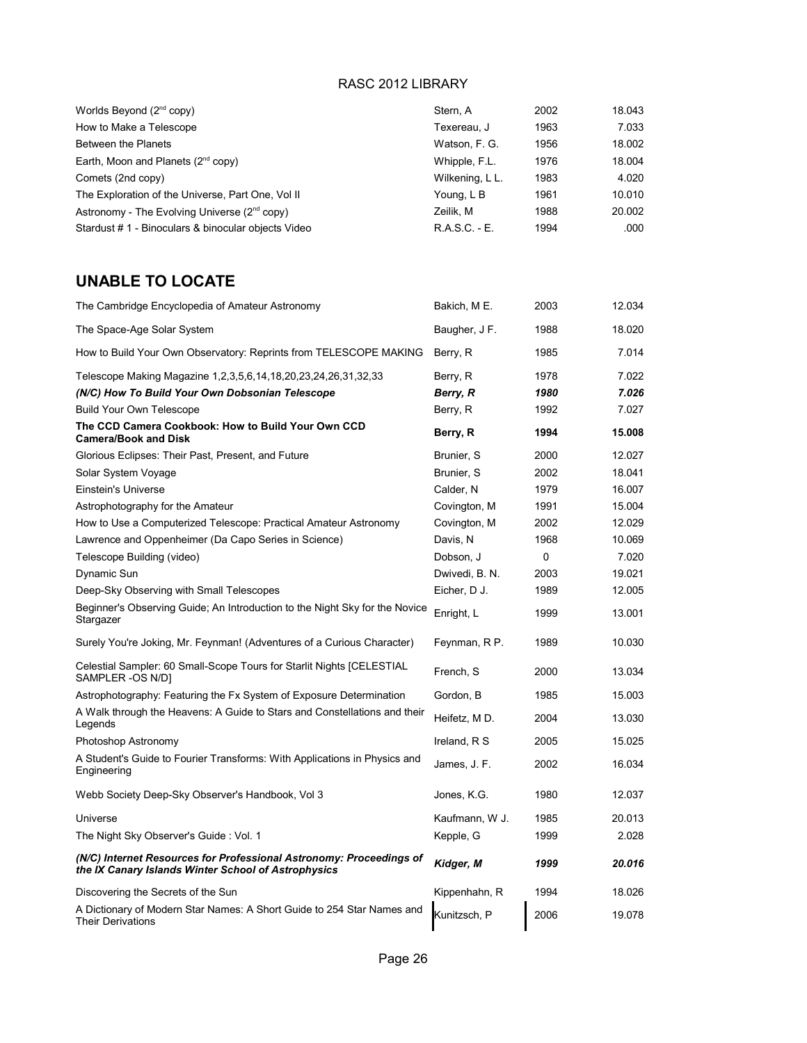| Worlds Beyond (2 <sup>nd</sup> copy)                                                                                       | Stern, A        | 2002 | 18.043 |
|----------------------------------------------------------------------------------------------------------------------------|-----------------|------|--------|
| How to Make a Telescope                                                                                                    | Texereau, J     | 1963 | 7.033  |
| <b>Between the Planets</b>                                                                                                 | Watson, F. G.   | 1956 | 18.002 |
| Earth, Moon and Planets $(2^{nd}$ copy)                                                                                    | Whipple, F.L.   | 1976 | 18.004 |
| Comets (2nd copy)                                                                                                          | Wilkening, L L. | 1983 | 4.020  |
| The Exploration of the Universe, Part One, Vol II                                                                          | Young, L B      | 1961 | 10.010 |
| Astronomy - The Evolving Universe (2 <sup>nd</sup> copy)                                                                   | Zeilik, M       | 1988 | 20.002 |
| Stardust # 1 - Binoculars & binocular objects Video                                                                        | R.A.S.C. - E.   | 1994 | .000   |
| <b>UNABLE TO LOCATE</b>                                                                                                    |                 |      |        |
| The Cambridge Encyclopedia of Amateur Astronomy                                                                            | Bakich, M E.    | 2003 | 12.034 |
| The Space-Age Solar System                                                                                                 | Baugher, J F.   | 1988 | 18.020 |
| How to Build Your Own Observatory: Reprints from TELESCOPE MAKING                                                          | Berry, R        | 1985 | 7.014  |
| Telescope Making Magazine 1,2,3,5,6,14,18,20,23,24,26,31,32,33                                                             | Berry, R        | 1978 | 7.022  |
| (N/C) How To Build Your Own Dobsonian Telescope                                                                            | Berry, R        | 1980 | 7.026  |
| <b>Build Your Own Telescope</b>                                                                                            | Berry, R        | 1992 | 7.027  |
| The CCD Camera Cookbook: How to Build Your Own CCD<br><b>Camera/Book and Disk</b>                                          | Berry, R        | 1994 | 15.008 |
| Glorious Eclipses: Their Past, Present, and Future                                                                         | Brunier, S      | 2000 | 12.027 |
| Solar System Voyage                                                                                                        | Brunier, S      | 2002 | 18.041 |
| Einstein's Universe                                                                                                        | Calder, N       | 1979 | 16.007 |
| Astrophotography for the Amateur                                                                                           | Covington, M    | 1991 | 15.004 |
| How to Use a Computerized Telescope: Practical Amateur Astronomy                                                           | Covington, M    | 2002 | 12.029 |
| Lawrence and Oppenheimer (Da Capo Series in Science)                                                                       | Davis, N        | 1968 | 10.069 |
| Telescope Building (video)                                                                                                 | Dobson, J       | 0    | 7.020  |
| Dynamic Sun                                                                                                                | Dwivedi, B. N.  | 2003 | 19.021 |
| Deep-Sky Observing with Small Telescopes                                                                                   | Eicher, D J.    | 1989 | 12.005 |
| Beginner's Observing Guide; An Introduction to the Night Sky for the Novice<br>Stargazer                                   | Enright, L      | 1999 | 13.001 |
| Surely You're Joking, Mr. Feynman! (Adventures of a Curious Character)                                                     | Feynman, R P.   | 1989 | 10.030 |
| Celestial Sampler: 60 Small-Scope Tours for Starlit Nights [CELESTIAL<br>SAMPLER -OS N/D]                                  | French, S       | 2000 | 13.034 |
| Astrophotography: Featuring the Fx System of Exposure Determination                                                        | Gordon, B       | 1985 | 15.003 |
| A Walk through the Heavens: A Guide to Stars and Constellations and their<br>Legends                                       | Heifetz, MD.    | 2004 | 13.030 |
| Photoshop Astronomy                                                                                                        | Ireland, R S    | 2005 | 15.025 |
| A Student's Guide to Fourier Transforms: With Applications in Physics and<br>Engineering                                   | James, J. F.    | 2002 | 16.034 |
| Webb Society Deep-Sky Observer's Handbook, Vol 3                                                                           | Jones, K.G.     | 1980 | 12.037 |
| Universe                                                                                                                   | Kaufmann, W J.  | 1985 | 20.013 |
| The Night Sky Observer's Guide: Vol. 1                                                                                     | Kepple, G       | 1999 | 2.028  |
| (N/C) Internet Resources for Professional Astronomy: Proceedings of<br>the IX Canary Islands Winter School of Astrophysics | Kidger, M       | 1999 | 20.016 |
| Discovering the Secrets of the Sun                                                                                         | Kippenhahn, R   | 1994 | 18.026 |
| A Dictionary of Modern Star Names: A Short Guide to 254 Star Names and<br>Their Derivations                                | Kunitzsch, P    | 2006 | 19.078 |